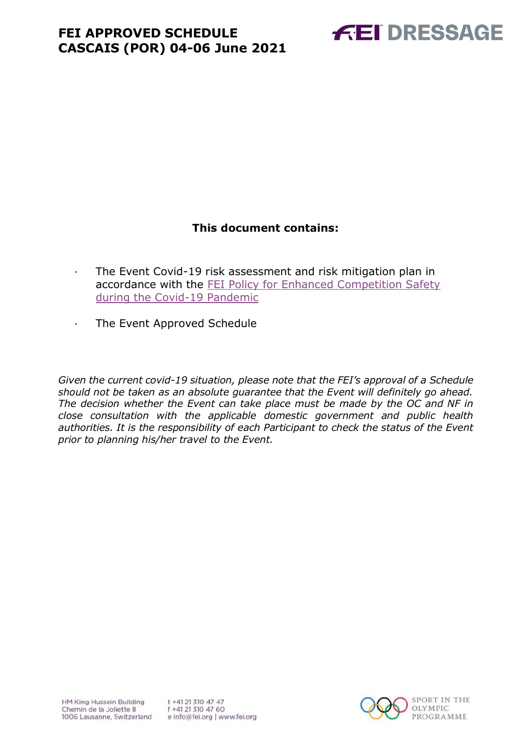

### **This document contains:**

- <span id="page-0-0"></span>· The Event Covid-19 risk assessment and risk mitigation plan in accordance with the [FEI Policy for Enhanced Competition Safety](https://inside.fei.org/fei/covid-19/return-to-play)  [during the Covid-19 Pandemic](https://inside.fei.org/fei/covid-19/return-to-play)
- · The Event Approved Schedule

*Given the current covid-19 situation, please note that the FEI's approval of a Schedule should not be taken as an absolute guarantee that the Event will definitely go ahead. The decision whether the Event can take place must be made by the OC and NF in close consultation with the applicable domestic government and public health authorities. It is the responsibility of each Participant to check the status of the Event prior to planning his/her travel to the Event.*

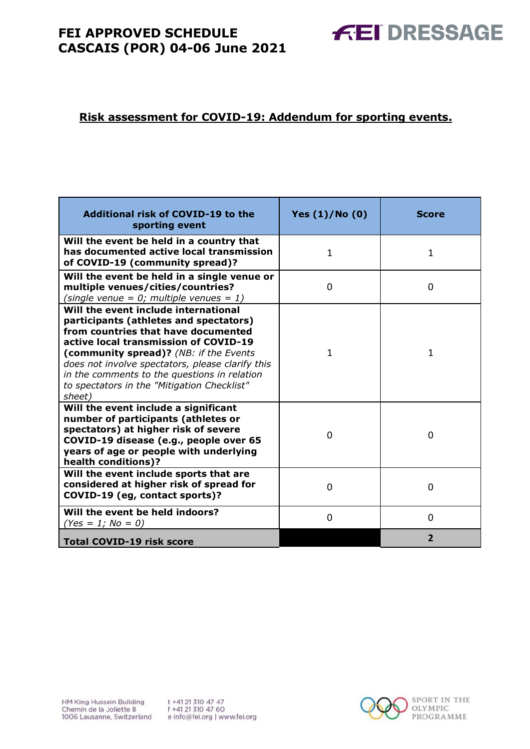### **Risk assessment for COVID-19: Addendum for sporting events.**

| <b>Additional risk of COVID-19 to the</b><br>sporting event                                                                                                                                                                                                                                                                                                           | Yes $(1)/N$ o $(0)$ | <b>Score</b>   |
|-----------------------------------------------------------------------------------------------------------------------------------------------------------------------------------------------------------------------------------------------------------------------------------------------------------------------------------------------------------------------|---------------------|----------------|
| Will the event be held in a country that<br>has documented active local transmission<br>of COVID-19 (community spread)?                                                                                                                                                                                                                                               | $\mathbf{1}$        | 1              |
| Will the event be held in a single venue or<br>multiple venues/cities/countries?<br>(single venue = $0$ ; multiple venues = 1)                                                                                                                                                                                                                                        | 0                   | 0              |
| Will the event include international<br>participants (athletes and spectators)<br>from countries that have documented<br>active local transmission of COVID-19<br>(community spread)? (NB: if the Events<br>does not involve spectators, please clarify this<br>in the comments to the questions in relation<br>to spectators in the "Mitigation Checklist"<br>sheet) | 1                   | 1              |
| Will the event include a significant<br>number of participants (athletes or<br>spectators) at higher risk of severe<br>COVID-19 disease (e.g., people over 65<br>years of age or people with underlying<br>health conditions)?                                                                                                                                        | 0                   | 0              |
| Will the event include sports that are<br>considered at higher risk of spread for<br>COVID-19 (eg, contact sports)?                                                                                                                                                                                                                                                   | $\Omega$            | $\Omega$       |
| Will the event be held indoors?<br>$(Yes = 1; No = 0)$                                                                                                                                                                                                                                                                                                                | $\Omega$            | $\Omega$       |
| <b>Total COVID-19 risk score</b>                                                                                                                                                                                                                                                                                                                                      |                     | $\overline{2}$ |



**FEI DRESSAGE**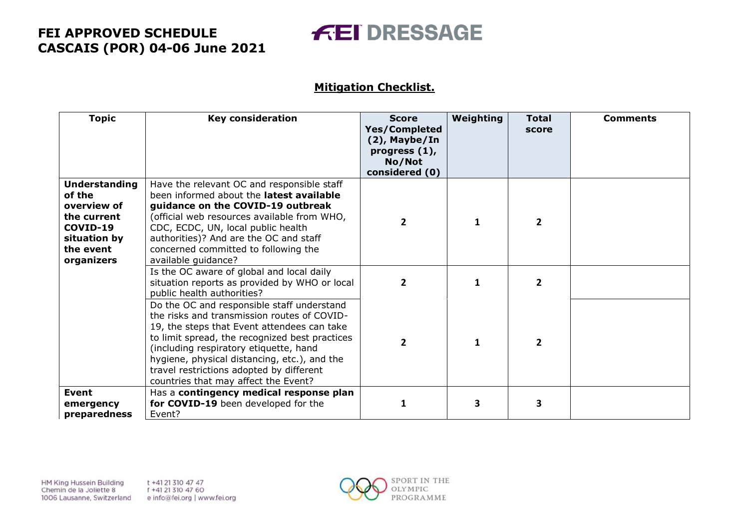# **FEI DRESSAGE**

### **Mitigation Checklist.**

| <b>Topic</b>                                                                                                        | <b>Key consideration</b>                                                                                                                                                                                                                                                                                                                                                 | <b>Score</b><br><b>Yes/Completed</b><br>(2), Maybe/In<br>progress $(1)$ ,<br>No/Not<br>considered (0) | Weighting | <b>Total</b><br>score | <b>Comments</b> |
|---------------------------------------------------------------------------------------------------------------------|--------------------------------------------------------------------------------------------------------------------------------------------------------------------------------------------------------------------------------------------------------------------------------------------------------------------------------------------------------------------------|-------------------------------------------------------------------------------------------------------|-----------|-----------------------|-----------------|
| <b>Understanding</b><br>of the<br>overview of<br>the current<br>COVID-19<br>situation by<br>the event<br>organizers | Have the relevant OC and responsible staff<br>been informed about the latest available<br>guidance on the COVID-19 outbreak<br>(official web resources available from WHO,<br>CDC, ECDC, UN, local public health<br>authorities)? And are the OC and staff<br>concerned committed to following the<br>available guidance?                                                | $\overline{2}$                                                                                        |           | $\overline{2}$        |                 |
|                                                                                                                     | Is the OC aware of global and local daily<br>situation reports as provided by WHO or local<br>public health authorities?                                                                                                                                                                                                                                                 | $\mathbf{2}$                                                                                          | 1         | 2                     |                 |
|                                                                                                                     | Do the OC and responsible staff understand<br>the risks and transmission routes of COVID-<br>19, the steps that Event attendees can take<br>to limit spread, the recognized best practices<br>(including respiratory etiquette, hand<br>hygiene, physical distancing, etc.), and the<br>travel restrictions adopted by different<br>countries that may affect the Event? | $\overline{2}$                                                                                        | 1         | $\overline{2}$        |                 |
| <b>Event</b><br>emergency<br>preparedness                                                                           | Has a contingency medical response plan<br>for COVID-19 been developed for the<br>Event?                                                                                                                                                                                                                                                                                 | 1                                                                                                     | 3         | 3                     |                 |

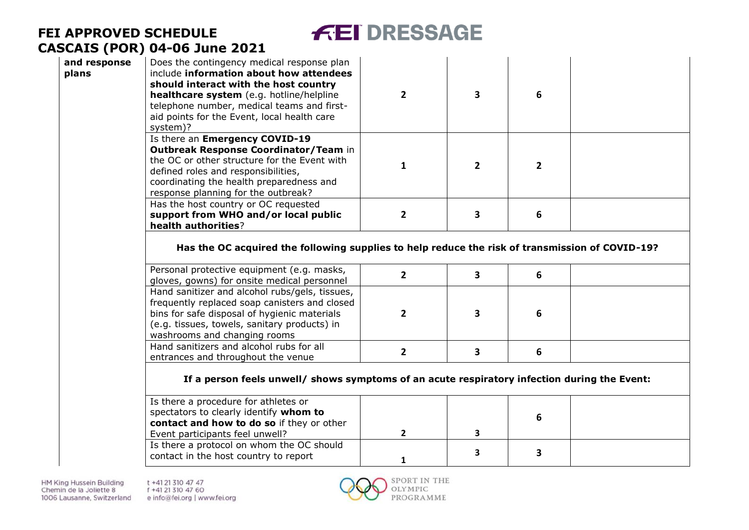# **FEI DRESSAGE**

| and response<br>plans | Does the contingency medical response plan<br>include information about how attendees<br>should interact with the host country<br>healthcare system (e.g. hotline/helpline<br>telephone number, medical teams and first-<br>aid points for the Event, local health care<br>system)? | $\overline{2}$ | $\overline{\mathbf{3}}$ | 6              |  |
|-----------------------|-------------------------------------------------------------------------------------------------------------------------------------------------------------------------------------------------------------------------------------------------------------------------------------|----------------|-------------------------|----------------|--|
|                       | Is there an Emergency COVID-19<br>Outbreak Response Coordinator/Team in<br>the OC or other structure for the Event with<br>defined roles and responsibilities,<br>coordinating the health preparedness and<br>response planning for the outbreak?                                   | 1              | $\overline{2}$          | $\overline{2}$ |  |
|                       | Has the host country or OC requested<br>support from WHO and/or local public<br>health authorities?                                                                                                                                                                                 | $\overline{2}$ | 3                       | 6              |  |
|                       | Has the OC acquired the following supplies to help reduce the risk of transmission of COVID-19?                                                                                                                                                                                     |                |                         |                |  |
|                       | Personal protective equipment (e.g. masks,<br>gloves, gowns) for onsite medical personnel                                                                                                                                                                                           | $\mathbf{2}$   | 3                       | 6              |  |
|                       | Hand sanitizer and alcohol rubs/gels, tissues,<br>frequently replaced soap canisters and closed<br>bins for safe disposal of hygienic materials<br>(e.g. tissues, towels, sanitary products) in<br>washrooms and changing rooms                                                     | $\overline{2}$ | 3                       | 6              |  |
|                       | Hand sanitizers and alcohol rubs for all<br>entrances and throughout the venue                                                                                                                                                                                                      | $\mathbf{2}$   | $\overline{\mathbf{3}}$ | 6              |  |
|                       | If a person feels unwell/ shows symptoms of an acute respiratory infection during the Event:                                                                                                                                                                                        |                |                         |                |  |
|                       | Is there a procedure for athletes or<br>spectators to clearly identify whom to<br>contact and how to do so if they or other<br>Event participants feel unwell?                                                                                                                      | $\mathbf{2}$   | 3                       | 6              |  |
|                       | Is there a protocol on whom the OC should<br>contact in the host country to report                                                                                                                                                                                                  | 1              | 3                       | 3              |  |

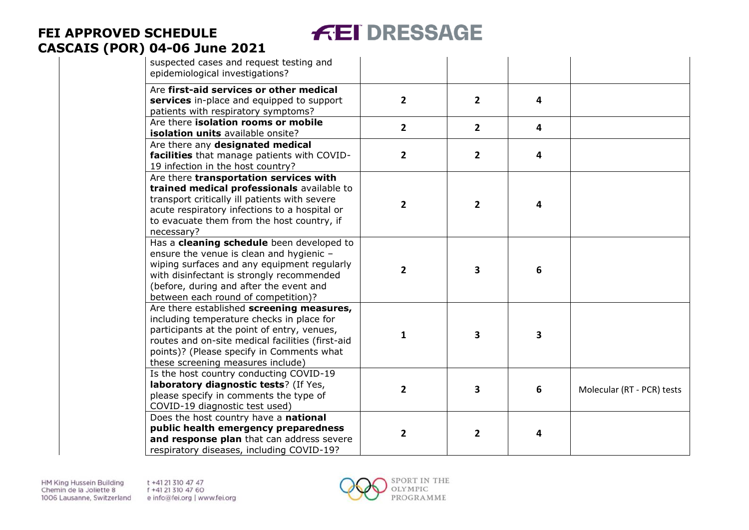# **FEI DRESSAGE**

| suspected cases and request testing and<br>epidemiological investigations?                                                                                                                                                                                                  |                |                |                         |                            |
|-----------------------------------------------------------------------------------------------------------------------------------------------------------------------------------------------------------------------------------------------------------------------------|----------------|----------------|-------------------------|----------------------------|
| Are first-aid services or other medical<br>services in-place and equipped to support<br>patients with respiratory symptoms?                                                                                                                                                 | $\overline{2}$ | $\overline{2}$ | 4                       |                            |
| Are there isolation rooms or mobile<br>isolation units available onsite?                                                                                                                                                                                                    | $\overline{2}$ | $\overline{2}$ | $\overline{\mathbf{4}}$ |                            |
| Are there any designated medical<br>facilities that manage patients with COVID-<br>19 infection in the host country?                                                                                                                                                        | $\overline{2}$ | $\overline{2}$ | 4                       |                            |
| Are there transportation services with<br>trained medical professionals available to<br>transport critically ill patients with severe<br>acute respiratory infections to a hospital or<br>to evacuate them from the host country, if<br>necessary?                          | $\overline{2}$ | $\overline{2}$ | 4                       |                            |
| Has a cleaning schedule been developed to<br>ensure the venue is clean and hygienic -<br>wiping surfaces and any equipment regularly<br>with disinfectant is strongly recommended<br>(before, during and after the event and<br>between each round of competition)?         | $\overline{2}$ | 3              | 6                       |                            |
| Are there established screening measures,<br>including temperature checks in place for<br>participants at the point of entry, venues,<br>routes and on-site medical facilities (first-aid<br>points)? (Please specify in Comments what<br>these screening measures include) | 1              | 3              | 3                       |                            |
| Is the host country conducting COVID-19<br>laboratory diagnostic tests? (If Yes,<br>please specify in comments the type of<br>COVID-19 diagnostic test used)                                                                                                                | $\overline{2}$ | 3              | 6                       | Molecular (RT - PCR) tests |
| Does the host country have a national<br>public health emergency preparedness<br>and response plan that can address severe<br>respiratory diseases, including COVID-19?                                                                                                     | $\overline{2}$ | $\overline{2}$ | 4                       |                            |

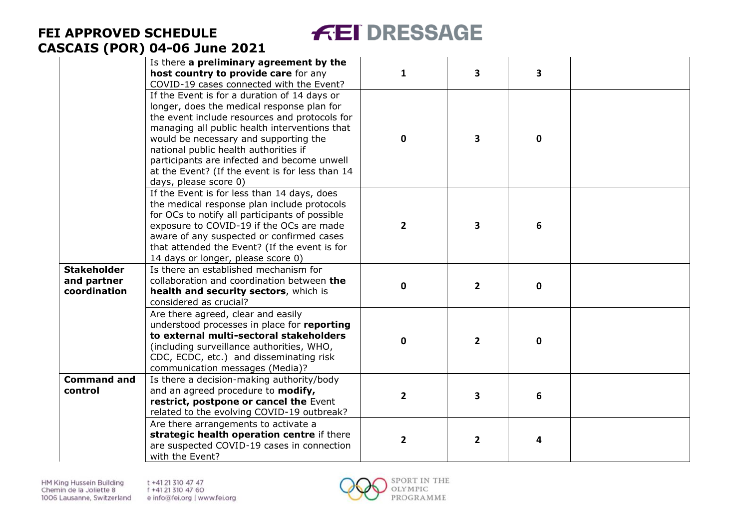# **FEI DRESSAGE**

|                                                   | Is there a preliminary agreement by the<br>host country to provide care for any<br>COVID-19 cases connected with the Event?                                                                                                                                                                                                                                                                               | $\mathbf{1}$   | 3                       | 3            |  |
|---------------------------------------------------|-----------------------------------------------------------------------------------------------------------------------------------------------------------------------------------------------------------------------------------------------------------------------------------------------------------------------------------------------------------------------------------------------------------|----------------|-------------------------|--------------|--|
|                                                   | If the Event is for a duration of 14 days or<br>longer, does the medical response plan for<br>the event include resources and protocols for<br>managing all public health interventions that<br>would be necessary and supporting the<br>national public health authorities if<br>participants are infected and become unwell<br>at the Event? (If the event is for less than 14<br>days, please score 0) | $\mathbf 0$    | 3                       | $\mathbf{0}$ |  |
|                                                   | If the Event is for less than 14 days, does<br>the medical response plan include protocols<br>for OCs to notify all participants of possible<br>exposure to COVID-19 if the OCs are made<br>aware of any suspected or confirmed cases<br>that attended the Event? (If the event is for<br>14 days or longer, please score 0)                                                                              | $\overline{2}$ | 3                       | 6            |  |
| <b>Stakeholder</b><br>and partner<br>coordination | Is there an established mechanism for<br>collaboration and coordination between the<br>health and security sectors, which is<br>considered as crucial?                                                                                                                                                                                                                                                    | 0              | $\overline{2}$          | $\mathbf 0$  |  |
|                                                   | Are there agreed, clear and easily<br>understood processes in place for reporting<br>to external multi-sectoral stakeholders<br>(including surveillance authorities, WHO,<br>CDC, ECDC, etc.) and disseminating risk<br>communication messages (Media)?                                                                                                                                                   | 0              | $\overline{2}$          | $\mathbf{0}$ |  |
| <b>Command and</b><br>control                     | Is there a decision-making authority/body<br>and an agreed procedure to modify,<br>restrict, postpone or cancel the Event<br>related to the evolving COVID-19 outbreak?                                                                                                                                                                                                                                   | $\overline{2}$ | $\overline{\mathbf{3}}$ | 6            |  |
|                                                   | Are there arrangements to activate a<br>strategic health operation centre if there<br>are suspected COVID-19 cases in connection<br>with the Event?                                                                                                                                                                                                                                                       | $\mathbf{2}$   | $\overline{2}$          | 4            |  |

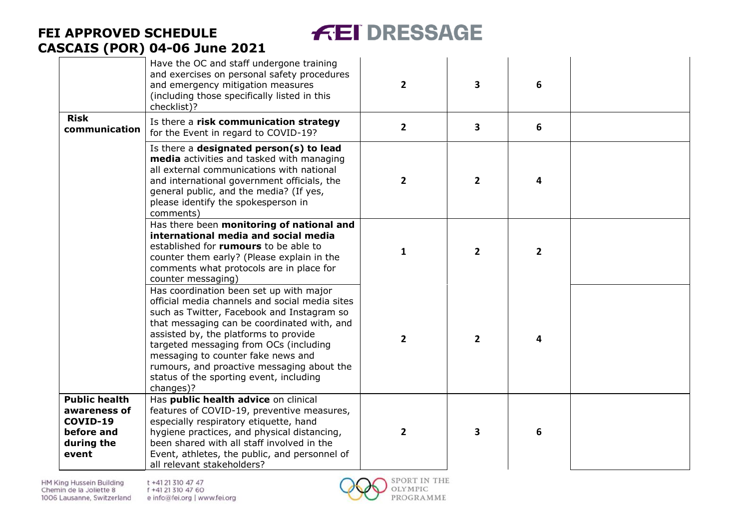# **FEI DRESSAGE**

| <b>Risk</b><br>communication                                                          | Have the OC and staff undergone training<br>and exercises on personal safety procedures<br>and emergency mitigation measures<br>(including those specifically listed in this<br>checklist)?<br>Is there a risk communication strategy                                                                                                                                                                                 | $\overline{2}$<br>$\mathbf{2}$ | 3<br>3         | 6<br>6         |  |
|---------------------------------------------------------------------------------------|-----------------------------------------------------------------------------------------------------------------------------------------------------------------------------------------------------------------------------------------------------------------------------------------------------------------------------------------------------------------------------------------------------------------------|--------------------------------|----------------|----------------|--|
|                                                                                       | for the Event in regard to COVID-19?<br>Is there a designated person(s) to lead<br><b>media</b> activities and tasked with managing<br>all external communications with national<br>and international government officials, the<br>general public, and the media? (If yes,<br>please identify the spokesperson in<br>comments)                                                                                        | $2^{\circ}$                    | $\overline{2}$ | 4              |  |
|                                                                                       | Has there been monitoring of national and<br>international media and social media<br>established for rumours to be able to<br>counter them early? (Please explain in the<br>comments what protocols are in place for<br>counter messaging)                                                                                                                                                                            | 1                              | $\overline{2}$ | $\overline{2}$ |  |
|                                                                                       | Has coordination been set up with major<br>official media channels and social media sites<br>such as Twitter, Facebook and Instagram so<br>that messaging can be coordinated with, and<br>assisted by, the platforms to provide<br>targeted messaging from OCs (including<br>messaging to counter fake news and<br>rumours, and proactive messaging about the<br>status of the sporting event, including<br>changes)? | $\mathbf{2}$                   | $\overline{2}$ | 4              |  |
| <b>Public health</b><br>awareness of<br>COVID-19<br>before and<br>during the<br>event | Has public health advice on clinical<br>features of COVID-19, preventive measures,<br>especially respiratory etiquette, hand<br>hygiene practices, and physical distancing,<br>been shared with all staff involved in the<br>Event, athletes, the public, and personnel of<br>all relevant stakeholders?                                                                                                              | $\mathbf{2}$                   | 3              | 6              |  |

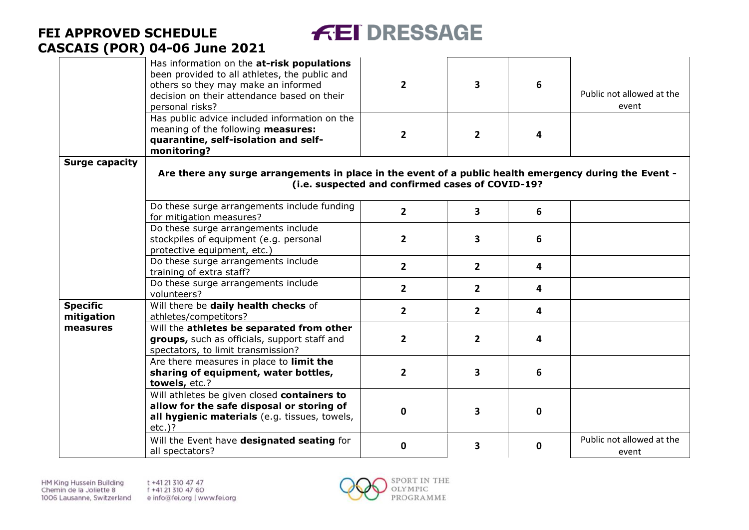

|                               | Has information on the at-risk populations<br>been provided to all athletes, the public and<br>others so they may make an informed<br>decision on their attendance based on their<br>personal risks? | $\overline{2}$                                   | $\overline{\mathbf{3}}$ | 6            | Public not allowed at the<br>event |
|-------------------------------|------------------------------------------------------------------------------------------------------------------------------------------------------------------------------------------------------|--------------------------------------------------|-------------------------|--------------|------------------------------------|
|                               | Has public advice included information on the<br>meaning of the following measures:<br>quarantine, self-isolation and self-<br>monitoring?                                                           | $\overline{2}$                                   | $\overline{2}$          | 4            |                                    |
| <b>Surge capacity</b>         | Are there any surge arrangements in place in the event of a public health emergency during the Event -                                                                                               | (i.e. suspected and confirmed cases of COVID-19? |                         |              |                                    |
|                               | Do these surge arrangements include funding<br>for mitigation measures?                                                                                                                              | $\overline{2}$                                   | $\overline{\mathbf{3}}$ | 6            |                                    |
|                               | Do these surge arrangements include<br>stockpiles of equipment (e.g. personal<br>protective equipment, etc.)                                                                                         | $\overline{2}$                                   | 3                       | 6            |                                    |
|                               | Do these surge arrangements include<br>training of extra staff?                                                                                                                                      | $\overline{2}$                                   | $\overline{2}$          | 4            |                                    |
|                               | Do these surge arrangements include<br>volunteers?                                                                                                                                                   | $\overline{2}$                                   | $\overline{2}$          | 4            |                                    |
| <b>Specific</b><br>mitigation | Will there be daily health checks of<br>athletes/competitors?                                                                                                                                        | $\overline{2}$                                   | $\overline{2}$          | 4            |                                    |
| measures                      | Will the athletes be separated from other<br>groups, such as officials, support staff and<br>spectators, to limit transmission?                                                                      | $\overline{2}$                                   | $\overline{2}$          | 4            |                                    |
|                               | Are there measures in place to limit the<br>sharing of equipment, water bottles,<br>towels, etc.?                                                                                                    | $\overline{2}$                                   | $\overline{\mathbf{3}}$ | 6            |                                    |
|                               | Will athletes be given closed containers to<br>allow for the safe disposal or storing of<br>all hygienic materials (e.g. tissues, towels,<br>$etc.$ )?                                               | $\mathbf{0}$                                     | $\overline{\mathbf{3}}$ | 0            |                                    |
|                               | Will the Event have designated seating for<br>all spectators?                                                                                                                                        | $\mathbf{0}$                                     | $\overline{\mathbf{3}}$ | $\mathbf{0}$ | Public not allowed at the<br>event |

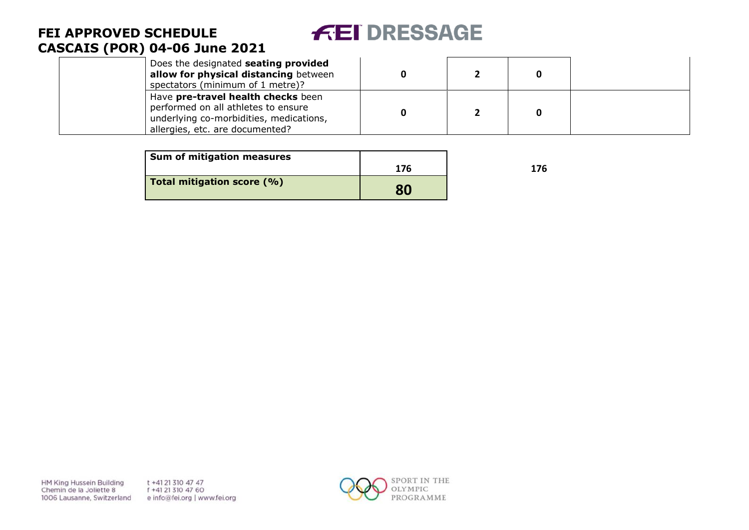# **FEI DRESSAGE**

### **FEI APPROVED SCHEDULE CASCAIS (POR) 04 -06 June 2021**

| Does the designated seating provided<br>allow for physical distancing between<br>spectators (minimum of 1 metre)?                                       |  |  |
|---------------------------------------------------------------------------------------------------------------------------------------------------------|--|--|
| Have pre-travel health checks been<br>performed on all athletes to ensure<br>underlying co-morbidities, medications,<br>allergies, etc. are documented? |  |  |

| Sum of mitigation measures |     |     |
|----------------------------|-----|-----|
|                            | 176 | 176 |
| Total mitigation score (%) | 80  |     |

**HM King Hussein Building** Chemin de la Joliette 8 1006 Lausanne, Switzerland t +41 21 310 47 47 f +41 21 310 47 60 e info@fei.org | www.fei.org

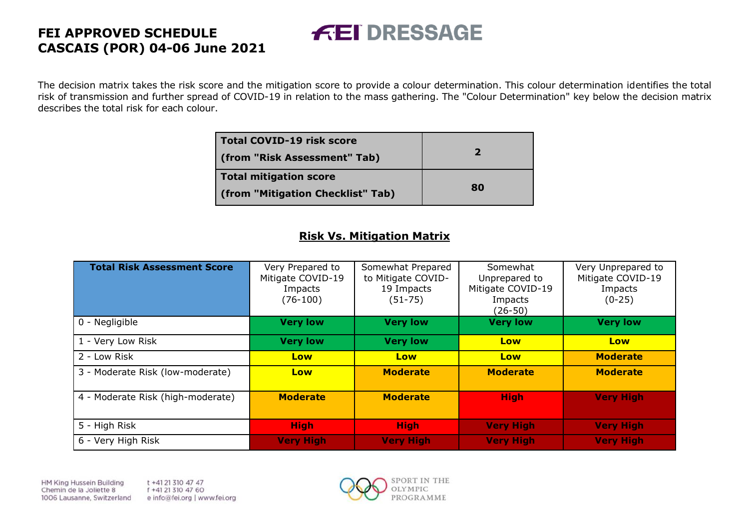The decision matrix takes the risk score and the mitigation score to provide a colour determination. This colour determination identifies the total risk of transmission and further spread of COVID-19 in relation to the mass gathering. The "Colour Determination" key below the decision matrix describes the total risk for each colour.

**FEI DRESSAGE** 

| <b>Total COVID-19 risk score</b><br>(from "Risk Assessment" Tab) | $\mathbf{z}$ |
|------------------------------------------------------------------|--------------|
| <b>Total mitigation score</b>                                    | 80           |
| (from "Mitigation Checklist" Tab)                                |              |

### **Risk Vs. Mitigation Matrix**

| <b>Total Risk Assessment Score</b> | Very Prepared to<br>Mitigate COVID-19<br>Impacts<br>$(76-100)$ | Somewhat Prepared<br>to Mitigate COVID-<br>19 Impacts<br>$(51 - 75)$ | Somewhat<br>Unprepared to<br>Mitigate COVID-19<br>Impacts<br>(26-50) | Very Unprepared to<br>Mitigate COVID-19<br>Impacts<br>$(0-25)$ |
|------------------------------------|----------------------------------------------------------------|----------------------------------------------------------------------|----------------------------------------------------------------------|----------------------------------------------------------------|
| 0 - Negligible                     | <b>Very low</b>                                                | <b>Very low</b>                                                      | <b>Very low</b>                                                      | <b>Very low</b>                                                |
| 1 - Very Low Risk                  | <b>Very low</b>                                                | <b>Very low</b>                                                      | Low                                                                  | Low                                                            |
| 2 - Low Risk                       | Low                                                            | Low                                                                  | Low                                                                  | <b>Moderate</b>                                                |
| 3 - Moderate Risk (low-moderate)   | Low                                                            | <b>Moderate</b>                                                      | <b>Moderate</b>                                                      | <b>Moderate</b>                                                |
| 4 - Moderate Risk (high-moderate)  | <b>Moderate</b>                                                | <b>Moderate</b>                                                      | <b>High</b>                                                          | <b>Very High</b>                                               |
| 5 - High Risk                      | <b>High</b>                                                    | <b>High</b>                                                          | <b>Very High</b>                                                     | <b>Very High</b>                                               |
| 6 - Very High Risk                 | <b>Very High</b>                                               | <b>Very High</b>                                                     | <b>Very High</b>                                                     | <b>Very High</b>                                               |

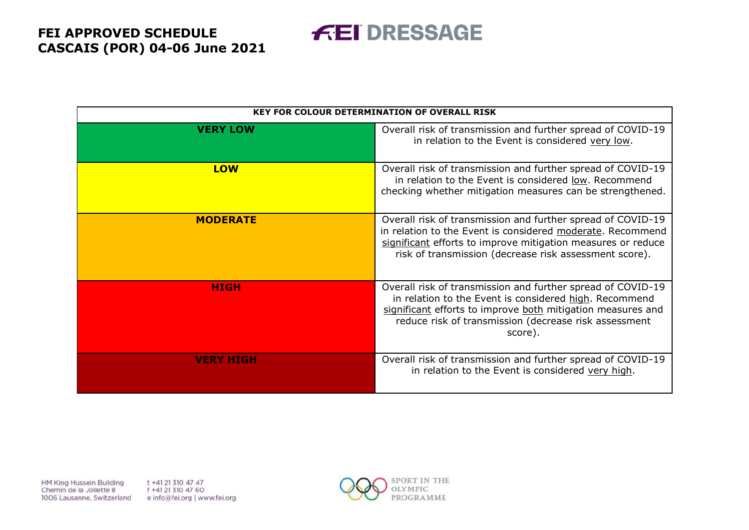**FEI DRESSAGE** 

|                  | <b>KEY FOR COLOUR DETERMINATION OF OVERALL RISK</b>                                                                                                                                                                                                      |
|------------------|----------------------------------------------------------------------------------------------------------------------------------------------------------------------------------------------------------------------------------------------------------|
| <b>VERY LOW</b>  | Overall risk of transmission and further spread of COVID-19<br>in relation to the Event is considered very low.                                                                                                                                          |
| <b>LOW</b>       | Overall risk of transmission and further spread of COVID-19<br>in relation to the Event is considered low. Recommend<br>checking whether mitigation measures can be strengthened.                                                                        |
| <b>MODERATE</b>  | Overall risk of transmission and further spread of COVID-19<br>in relation to the Event is considered moderate. Recommend<br>significant efforts to improve mitigation measures or reduce<br>risk of transmission (decrease risk assessment score).      |
| <b>HIGH</b>      | Overall risk of transmission and further spread of COVID-19<br>in relation to the Event is considered high. Recommend<br>significant efforts to improve both mitigation measures and<br>reduce risk of transmission (decrease risk assessment<br>score). |
| <b>VERY HIGH</b> | Overall risk of transmission and further spread of COVID-19<br>in relation to the Event is considered very high.                                                                                                                                         |

**HM King Hussein Building** Chemin de la Joliette 8 1006 Lausanne, Switzerland t +41 21 310 47 47 f +41 21 310 47 60 e info@fei.org | www.fei.org

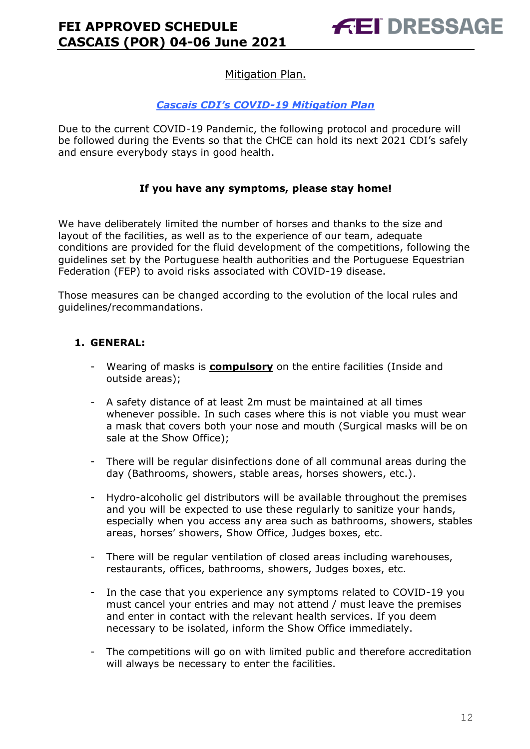### Mitigation Plan.

### *Cascais CDI's COVID-19 Mitigation Plan*

Due to the current COVID-19 Pandemic, the following protocol and procedure will be followed during the Events so that the CHCE can hold its next 2021 CDI's safely and ensure everybody stays in good health.

#### **If you have any symptoms, please stay home!**

We have deliberately limited the number of horses and thanks to the size and layout of the facilities, as well as to the experience of our team, adequate conditions are provided for the fluid development of the competitions, following the guidelines set by the Portuguese health authorities and the Portuguese Equestrian Federation (FEP) to avoid risks associated with COVID-19 disease.

Those measures can be changed according to the evolution of the local rules and guidelines/recommandations.

### **1. GENERAL:**

- Wearing of masks is **compulsory** on the entire facilities (Inside and outside areas);
- A safety distance of at least 2m must be maintained at all times whenever possible. In such cases where this is not viable you must wear a mask that covers both your nose and mouth (Surgical masks will be on sale at the Show Office);
- There will be regular disinfections done of all communal areas during the day (Bathrooms, showers, stable areas, horses showers, etc.).
- Hydro-alcoholic gel distributors will be available throughout the premises and you will be expected to use these regularly to sanitize your hands, especially when you access any area such as bathrooms, showers, stables areas, horses' showers, Show Office, Judges boxes, etc.
- There will be regular ventilation of closed areas including warehouses, restaurants, offices, bathrooms, showers, Judges boxes, etc.
- In the case that you experience any symptoms related to COVID-19 you must cancel your entries and may not attend / must leave the premises and enter in contact with the relevant health services. If you deem necessary to be isolated, inform the Show Office immediately.
- The competitions will go on with limited public and therefore accreditation will always be necessary to enter the facilities.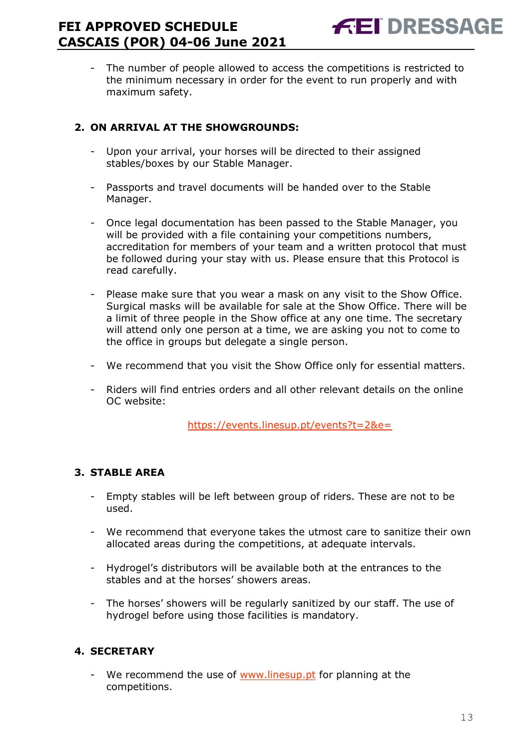The number of people allowed to access the competitions is restricted to the minimum necessary in order for the event to run properly and with maximum safety.

### **2. ON ARRIVAL AT THE SHOWGROUNDS:**

- Upon your arrival, your horses will be directed to their assigned stables/boxes by our Stable Manager.
- Passports and travel documents will be handed over to the Stable Manager.
- Once legal documentation has been passed to the Stable Manager, you will be provided with a file containing your competitions numbers, accreditation for members of your team and a written protocol that must be followed during your stay with us. Please ensure that this Protocol is read carefully.
- Please make sure that you wear a mask on any visit to the Show Office. Surgical masks will be available for sale at the Show Office. There will be a limit of three people in the Show office at any one time. The secretary will attend only one person at a time, we are asking you not to come to the office in groups but delegate a single person.
- We recommend that you visit the Show Office only for essential matters.
- Riders will find entries orders and all other relevant details on the online OC website:

<https://events.linesup.pt/events?t=2&e=>

### **3. STABLE AREA**

- Empty stables will be left between group of riders. These are not to be used.
- We recommend that everyone takes the utmost care to sanitize their own allocated areas during the competitions, at adequate intervals.
- Hydrogel's distributors will be available both at the entrances to the stables and at the horses' showers areas.
- The horses' showers will be regularly sanitized by our staff. The use of hydrogel before using those facilities is mandatory.

### **4. SECRETARY**

We recommend the use of [www.linesup.pt](http://www.linesup.pt/) for planning at the competitions.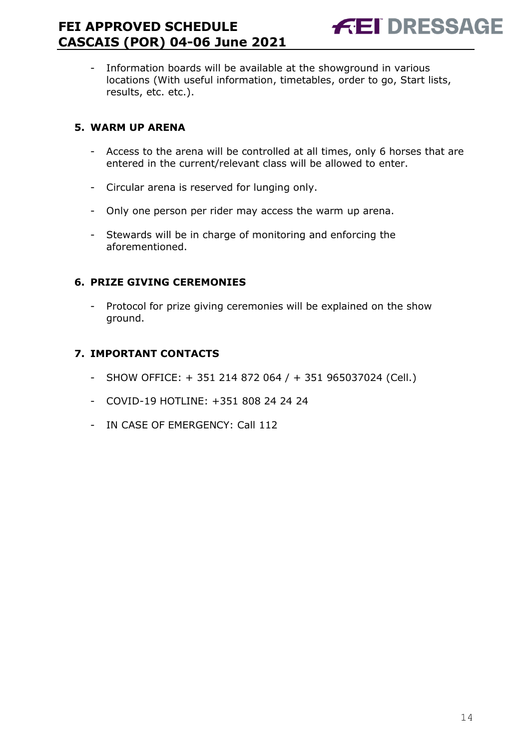- Information boards will be available at the showground in various locations (With useful information, timetables, order to go, Start lists, results, etc. etc.).

### **5. WARM UP ARENA**

- Access to the arena will be controlled at all times, only 6 horses that are entered in the current/relevant class will be allowed to enter.
- Circular arena is reserved for lunging only.
- Only one person per rider may access the warm up arena.
- Stewards will be in charge of monitoring and enforcing the aforementioned.

### **6. PRIZE GIVING CEREMONIES**

- Protocol for prize giving ceremonies will be explained on the show ground.

### **7. IMPORTANT CONTACTS**

- SHOW OFFICE: + 351 214 872 064 / + 351 965037024 (Cell.)
- COVID-19 HOTLINE: +351 808 24 24 24
- IN CASE OF EMERGENCY: Call 112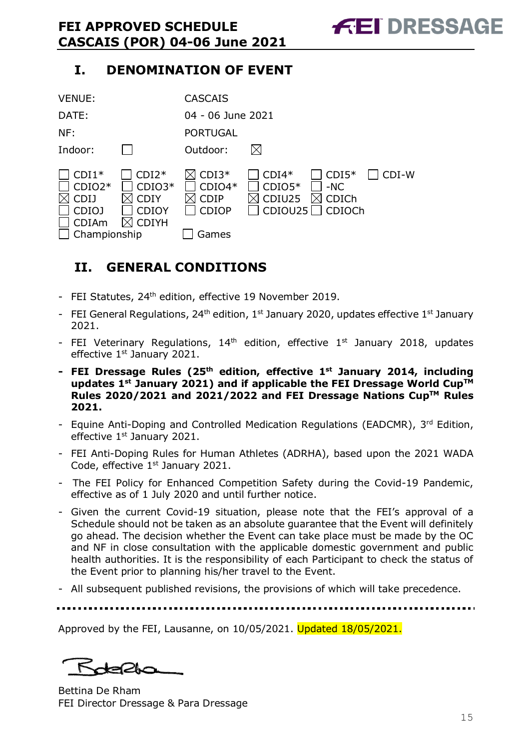### **I. DENOMINATION OF EVENT**

| <b>VENUE:</b>                                                                      |                                                                    | <b>CASCAIS</b>                                              |                               |                                                      |       |
|------------------------------------------------------------------------------------|--------------------------------------------------------------------|-------------------------------------------------------------|-------------------------------|------------------------------------------------------|-------|
| DATE:                                                                              |                                                                    | 04 - 06 June 2021                                           |                               |                                                      |       |
| NF:                                                                                |                                                                    | <b>PORTUGAL</b>                                             |                               |                                                      |       |
| Indoor:                                                                            |                                                                    | Outdoor:                                                    |                               |                                                      |       |
| $CDI1*$<br>$CDIO2*$<br><b>CDIJ</b><br><b>CDIOJ</b><br><b>CDIAm</b><br>Championship | $CDI2*$<br>$CDIO3*$<br><b>CDIY</b><br><b>CDIOY</b><br><b>CDIYH</b> | $CDI3*$<br>$CDIO4*$<br><b>CDIP</b><br><b>CDIOP</b><br>Games | $CDI4*$<br>$CDIO5*$<br>CDIU25 | $CDI5*$<br>$-NC$<br>CDICh<br>$CDIOU25$ $\Box$ CDIOCh | CDI-W |

### <span id="page-14-0"></span>**II. GENERAL CONDITIONS**

- FEI Statutes, 24<sup>th</sup> edition, effective 19 November 2019.
- FEI General Regulations, 24<sup>th</sup> edition, 1<sup>st</sup> January 2020, updates effective 1<sup>st</sup> January 2021.
- FEI Veterinary Regulations,  $14<sup>th</sup>$  edition, effective  $1<sup>st</sup>$  January 2018, updates effective 1<sup>st</sup> January 2021.
- **- FEI Dressage Rules (25 th edition, effective 1st January 2014, including updates 1 st January 2021) and if applicable the FEI Dressage World CupTM Rules 2020/2021 and 2021/2022 and FEI Dressage Nations CupTM Rules 2021.**
- Equine Anti-Doping and Controlled Medication Regulations (EADCMR), 3rd Edition, effective 1<sup>st</sup> January 2021.
- FEI Anti-Doping Rules for Human Athletes (ADRHA), based upon the 2021 WADA Code, effective 1<sup>st</sup> January 2021.
- The FEI Policy for Enhanced Competition Safety during the Covid-19 Pandemic, effective as of 1 July 2020 and until further notice.
- Given the current Covid-19 situation, please note that the FEI's approval of a Schedule should not be taken as an absolute guarantee that the Event will definitely go ahead. The decision whether the Event can take place must be made by the OC and NF in close consultation with the applicable domestic government and public health authorities. It is the responsibility of each Participant to check the status of the Event prior to planning his/her travel to the Event.
- All subsequent published revisions, the provisions of which will take precedence.

Approved by the FEI, Lausanne, on 10/05/2021. Updated 18/05/2021.

Bettina De Rham FEI Director Dressage & Para Dressage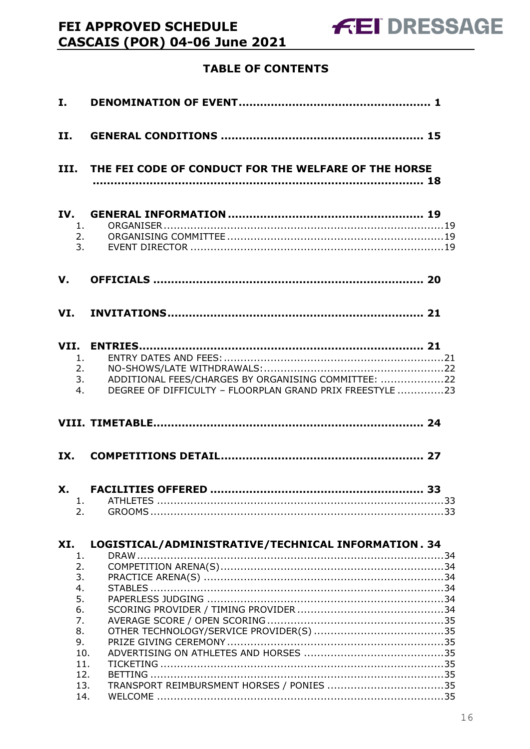### **TABLE OF CONTENTS**

| II.                                                                     |                                                                                                                       |
|-------------------------------------------------------------------------|-----------------------------------------------------------------------------------------------------------------------|
|                                                                         | III. THE FEI CODE OF CONDUCT FOR THE WELFARE OF THE HORSE                                                             |
| IV.<br>1.<br>2.<br>3 <sub>1</sub>                                       |                                                                                                                       |
| V.                                                                      |                                                                                                                       |
|                                                                         |                                                                                                                       |
| 1.<br>2.<br>4.                                                          | ADDITIONAL FEES/CHARGES BY ORGANISING COMMITTEE: 22<br>3.<br>DEGREE OF DIFFICULTY - FLOORPLAN GRAND PRIX FREESTYLE 23 |
|                                                                         |                                                                                                                       |
| IX.                                                                     |                                                                                                                       |
| X.<br>1.<br>2.                                                          |                                                                                                                       |
| XI.<br>1.<br>2.<br>3.<br>4.<br>5.<br>6.<br>7.<br>8.<br>9.<br>10.<br>11. | LOGISTICAL/ADMINISTRATIVE/TECHNICAL INFORMATION. 34                                                                   |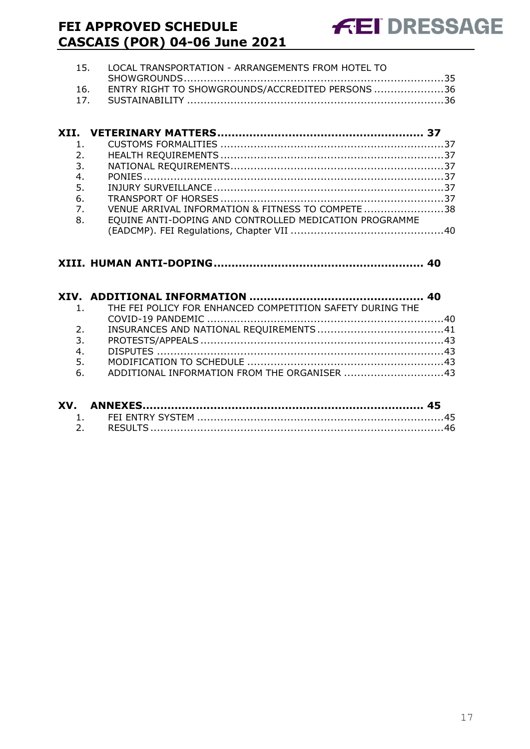| 15. LOCAL TRANSPORTATION - ARRANGEMENTS FROM HOTEL TO |  |
|-------------------------------------------------------|--|
|                                                       |  |
| 16. ENTRY RIGHT TO SHOWGROUNDS/ACCREDITED PERSONS 36  |  |
|                                                       |  |

| $\mathbf{1}$ .   |                                                        |  |
|------------------|--------------------------------------------------------|--|
| 2.               |                                                        |  |
| 3.               |                                                        |  |
| 4.               |                                                        |  |
| 5.               |                                                        |  |
| 6.               |                                                        |  |
| $\overline{7}$ . | VENUE ARRIVAL INFORMATION & FITNESS TO COMPETE 38      |  |
| 8.               | EQUINE ANTI-DOPING AND CONTROLLED MEDICATION PROGRAMME |  |
|                  |                                                        |  |

### **XIII. [HUMAN ANTI-DOPING...........................................................](#page-39-1) 40**

|                  | 1. THE FEI POLICY FOR ENHANCED COMPETITION SAFETY DURING THE |  |
|------------------|--------------------------------------------------------------|--|
|                  |                                                              |  |
| 2.               |                                                              |  |
| $\overline{3}$ . |                                                              |  |
| 4.               |                                                              |  |
| 5.               |                                                              |  |
|                  | 6. ADDITIONAL INFORMATION FROM THE ORGANISER 43              |  |
|                  |                                                              |  |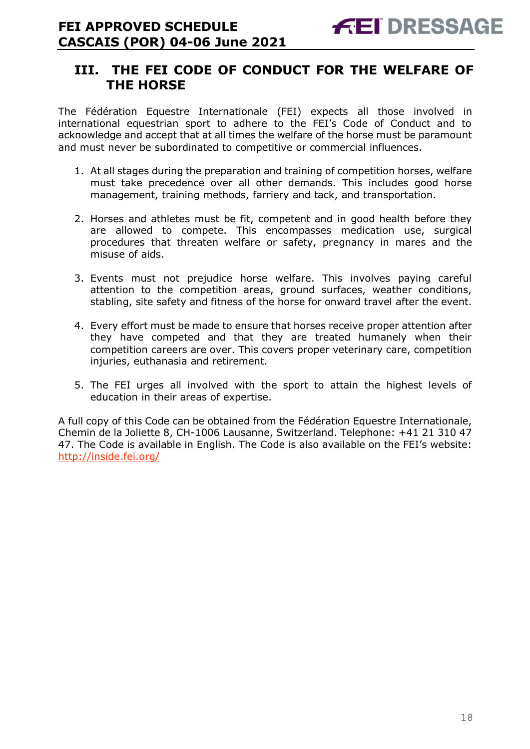### <span id="page-17-0"></span>**III. THE FEI CODE OF CONDUCT FOR THE WELFARE OF THE HORSE**

The Fédération Equestre Internationale (FEI) expects all those involved in international equestrian sport to adhere to the FEI's Code of Conduct and to acknowledge and accept that at all times the welfare of the horse must be paramount and must never be subordinated to competitive or commercial influences.

- 1. At all stages during the preparation and training of competition horses, welfare must take precedence over all other demands. This includes good horse management, training methods, farriery and tack, and transportation.
- 2. Horses and athletes must be fit, competent and in good health before they are allowed to compete. This encompasses medication use, surgical procedures that threaten welfare or safety, pregnancy in mares and the misuse of aids.
- 3. Events must not prejudice horse welfare. This involves paying careful attention to the competition areas, ground surfaces, weather conditions, stabling, site safety and fitness of the horse for onward travel after the event.
- 4. Every effort must be made to ensure that horses receive proper attention after they have competed and that they are treated humanely when their competition careers are over. This covers proper veterinary care, competition injuries, euthanasia and retirement.
- 5. The FEI urges all involved with the sport to attain the highest levels of education in their areas of expertise.

A full copy of this Code can be obtained from the Fédération Equestre Internationale, Chemin de la Joliette 8, CH-1006 Lausanne, Switzerland. Telephone: +41 21 310 47 47. The Code is available in English. The Code is also available on the FEI's website: <http://inside.fei.org/>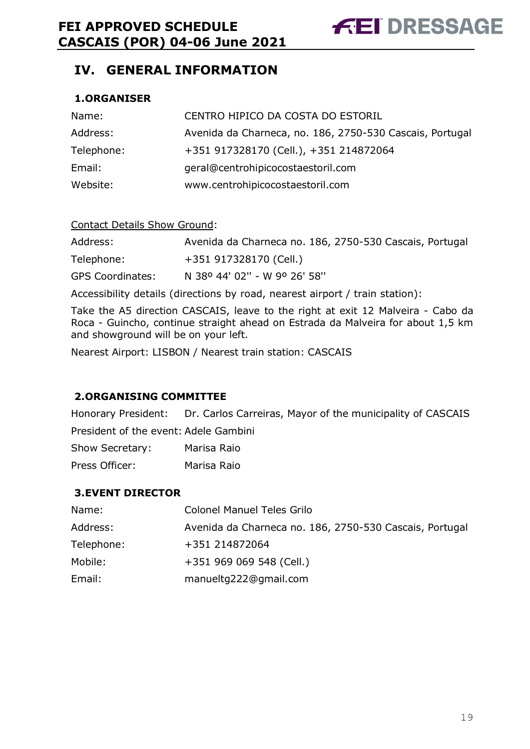### <span id="page-18-0"></span>**IV. GENERAL INFORMATION**

### <span id="page-18-1"></span>**1.ORGANISER**

| Name:      | CENTRO HIPICO DA COSTA DO ESTORIL                        |
|------------|----------------------------------------------------------|
| Address:   | Avenida da Charneca, no. 186, 2750-530 Cascais, Portugal |
| Telephone: | +351 917328170 (Cell.), +351 214872064                   |
| Email:     | geral@centrohipicocostaestoril.com                       |
| Website:   | www.centrohipicocostaestoril.com                         |

#### Contact Details Show Ground:

| Address:                | Avenida da Charneca no. 186, 2750-530 Cascais, Portugal |
|-------------------------|---------------------------------------------------------|
| Telephone:              | +351 917328170 (Cell.)                                  |
| <b>GPS Coordinates:</b> | N 38º 44' 02" - W 9º 26' 58"                            |

Accessibility details (directions by road, nearest airport / train station):

Take the A5 direction CASCAIS, leave to the right at exit 12 Malveira - Cabo da Roca - Guincho, continue straight ahead on Estrada da Malveira for about 1,5 km and showground will be on your left.

Nearest Airport: LISBON / Nearest train station: CASCAIS

### <span id="page-18-2"></span>**2.ORGANISING COMMITTEE**

Honorary President: Dr. Carlos Carreiras, Mayor of the municipality of CASCAIS

President of the event: Adele Gambini

| Show Secretary: |  | Marisa Raio |  |
|-----------------|--|-------------|--|
|                 |  |             |  |

| Press Officer: | Marisa Raio |  |
|----------------|-------------|--|
|                |             |  |

### <span id="page-18-3"></span>**3.EVENT DIRECTOR**

| Name:      | <b>Colonel Manuel Teles Grilo</b>                       |
|------------|---------------------------------------------------------|
| Address:   | Avenida da Charneca no. 186, 2750-530 Cascais, Portugal |
| Telephone: | +351 214872064                                          |
| Mobile:    | +351 969 069 548 (Cell.)                                |
| Email:     | manueltg222@gmail.com                                   |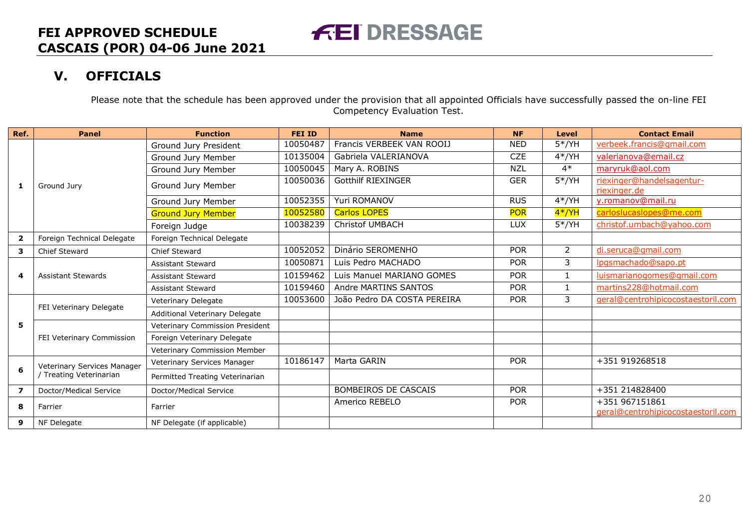### **V. OFFICIALS**

Please note that the schedule has been approved under the provision that all appointed Officials have successfully passed the on-line FEI Competency Evaluation Test.

<span id="page-19-0"></span>

| Ref.           | <b>Panel</b>                | <b>Function</b>                 | <b>FEI ID</b> | <b>Name</b>                 | <b>NF</b>  | <b>Level</b>   | <b>Contact Email</b>                                 |
|----------------|-----------------------------|---------------------------------|---------------|-----------------------------|------------|----------------|------------------------------------------------------|
|                |                             | Ground Jury President           | 10050487      | Francis VERBEEK VAN ROOIJ   | <b>NED</b> | $5*/YH$        | verbeek.francis@gmail.com                            |
|                |                             | Ground Jury Member              | 10135004      | Gabriela VALERIANOVA        | <b>CZE</b> | $4*/YH$        | valerianova@email.cz                                 |
|                |                             | Ground Jury Member              | 10050045      | Mary A. ROBINS              | <b>NZL</b> | $4*$           | maryruk@aol.com                                      |
| 1              | Ground Jury                 | Ground Jury Member              | 10050036      | <b>Gotthilf RIEXINGER</b>   | <b>GER</b> | $5*/YH$        | riexinger@handelsagentur-<br>riexinger.de            |
|                |                             | Ground Jury Member              | 10052355      | Yuri ROMANOV                | <b>RUS</b> | $4*/YH$        | y.romanov@mail.ru                                    |
|                |                             | <b>Ground Jury Member</b>       | 10052580      | <b>Carlos LOPES</b>         | <b>POR</b> | 4*/YH          | carloslucaslopes@me.com                              |
|                |                             | Foreign Judge                   | 10038239      | <b>Christof UMBACH</b>      | <b>LUX</b> | $5*/YH$        | christof.umbach@yahoo.com                            |
| $\overline{2}$ | Foreign Technical Delegate  | Foreign Technical Delegate      |               |                             |            |                |                                                      |
| 3              | <b>Chief Steward</b>        | Chief Steward                   | 10052052      | Dinário SEROMENHO           | <b>POR</b> | $\overline{2}$ | di.seruca@gmail.com                                  |
|                | <b>Assistant Stewards</b>   | <b>Assistant Steward</b>        | 10050871      | Luis Pedro MACHADO          | <b>POR</b> | 3              | lpgsmachado@sapo.pt                                  |
| 4              |                             | <b>Assistant Steward</b>        | 10159462      | Luis Manuel MARIANO GOMES   | <b>POR</b> |                | luismarianogomes@gmail.com                           |
|                |                             | <b>Assistant Steward</b>        | 10159460      | Andre MARTINS SANTOS        | <b>POR</b> |                | martins228@hotmail.com                               |
|                | FEI Veterinary Delegate     | Veterinary Delegate             | 10053600      | João Pedro DA COSTA PEREIRA | <b>POR</b> | 3              | geral@centrohipicocostaestoril.com                   |
|                |                             | Additional Veterinary Delegate  |               |                             |            |                |                                                      |
| 5              |                             | Veterinary Commission President |               |                             |            |                |                                                      |
|                | FEI Veterinary Commission   | Foreign Veterinary Delegate     |               |                             |            |                |                                                      |
|                |                             | Veterinary Commission Member    |               |                             |            |                |                                                      |
|                | Veterinary Services Manager | Veterinary Services Manager     | 10186147      | Marta GARIN                 | <b>POR</b> |                | +351 919268518                                       |
| 6              | Treating Veterinarian       | Permitted Treating Veterinarian |               |                             |            |                |                                                      |
| $\overline{z}$ | Doctor/Medical Service      | Doctor/Medical Service          |               | <b>BOMBEIROS DE CASCAIS</b> | <b>POR</b> |                | +351 214828400                                       |
| 8              | Farrier                     | Farrier                         |               | Americo REBELO              | <b>POR</b> |                | +351 967151861<br>geral@centrohipicocostaestoril.com |
| 9              | NF Delegate                 | NF Delegate (if applicable)     |               |                             |            |                |                                                      |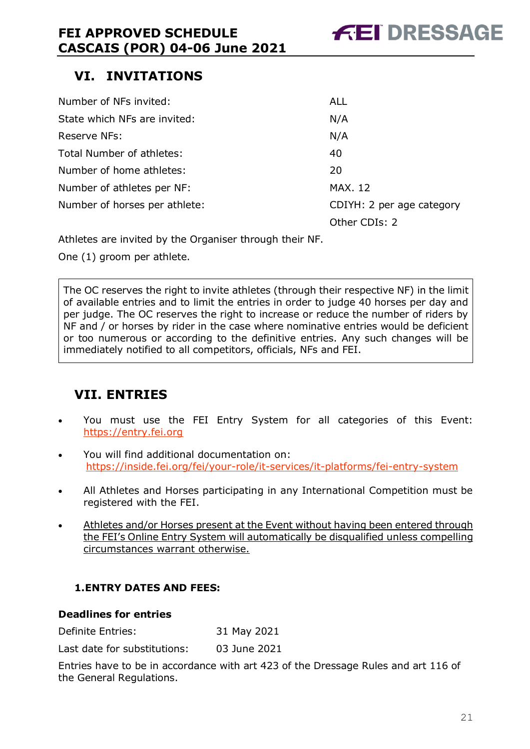## <span id="page-20-0"></span>**VI. INVITATIONS**

| Number of NFs invited:        | <b>ALL</b>                |
|-------------------------------|---------------------------|
| State which NFs are invited:  | N/A                       |
| Reserve NFs:                  | N/A                       |
| Total Number of athletes:     | 40                        |
| Number of home athletes:      | 20                        |
| Number of athletes per NF:    | <b>MAX. 12</b>            |
| Number of horses per athlete: | CDIYH: 2 per age category |
|                               | Other CDIs: 2             |

Athletes are invited by the Organiser through their NF.

One (1) groom per athlete.

The OC reserves the right to invite athletes (through their respective NF) in the limit of available entries and to limit the entries in order to judge 40 horses per day and per judge. The OC reserves the right to increase or reduce the number of riders by NF and / or horses by rider in the case where nominative entries would be deficient or too numerous or according to the definitive entries. Any such changes will be immediately notified to all competitors, officials, NFs and FEI.

## <span id="page-20-1"></span>**VII. ENTRIES**

- You must use the FEI Entry System for all categories of this Event: [https://entry.fei.org](https://entry.fei.org/)
- You will find additional documentation on: <https://inside.fei.org/fei/your-role/it-services/it-platforms/fei-entry-system>
- All Athletes and Horses participating in any International Competition must be registered with the FEI.
- Athletes and/or Horses present at the Event without having been entered through the FEI's Online Entry System will automatically be disqualified unless compelling circumstances warrant otherwise.

### <span id="page-20-2"></span>**1.ENTRY DATES AND FEES:**

### **Deadlines for entries**

Definite Entries: 31 May 2021

Last date for substitutions: 03 June 2021

Entries have to be in accordance with art 423 of the Dressage Rules and art 116 of the General Regulations.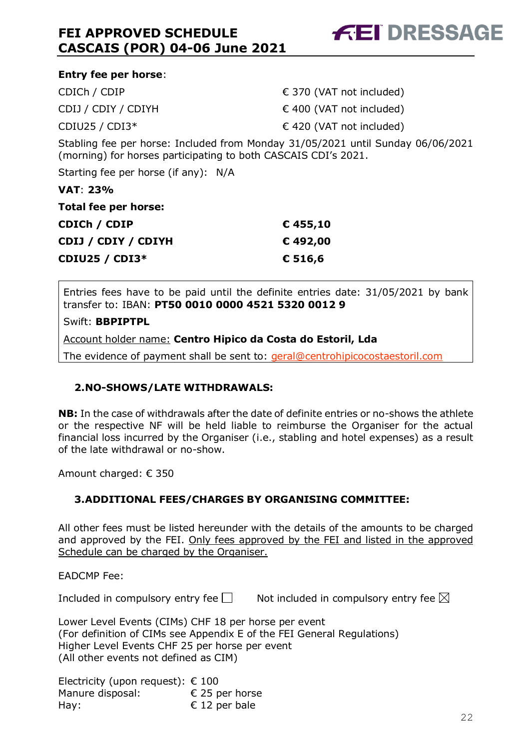

| <b>Entry fee per horse:</b>                                                     |                                   |
|---------------------------------------------------------------------------------|-----------------------------------|
| CDICh / CDIP                                                                    | $\epsilon$ 370 (VAT not included) |
| CDIJ / CDIY / CDIYH                                                             | $\in$ 400 (VAT not included)      |
| CDIU25 / CDI3 $*$                                                               | $\in$ 420 (VAT not included)      |
| Stabling fee per horse: Included from Monday 31/05/2021 until Sunday 06/06/2021 |                                   |

(morning) for horses participating to both CASCAIS CDI's 2021.

Starting fee per horse (if any): N/A

**VAT**: **23%**

| Total fee per horse:  |          |
|-----------------------|----------|
| CDICh / CDIP          | € 455,10 |
| CDIJ / CDIY / CDIYH   | € 492,00 |
| <b>CDIU25 / CDI3*</b> | € 516,6  |

Entries fees have to be paid until the definite entries date: 31/05/2021 by bank transfer to: IBAN: **PT50 0010 0000 4521 5320 0012 9**

Swift: **BBPIPTPL**

Account holder name: **Centro Hipico da Costa do Estoril, Lda**

The evidence of payment shall be sent to: [geral@centrohipicocostaestoril.com](mailto:geral@centrohipicocostaestoril.com)

### <span id="page-21-0"></span>**2.NO-SHOWS/LATE WITHDRAWALS:**

**NB:** In the case of withdrawals after the date of definite entries or no-shows the athlete or the respective NF will be held liable to reimburse the Organiser for the actual financial loss incurred by the Organiser (i.e., stabling and hotel expenses) as a result of the late withdrawal or no-show.

Amount charged: € 350

### <span id="page-21-1"></span>**3.ADDITIONAL FEES/CHARGES BY ORGANISING COMMITTEE:**

All other fees must be listed hereunder with the details of the amounts to be charged and approved by the FEI. Only fees approved by the FEI and listed in the approved Schedule can be charged by the Organiser.

EADCMP Fee:

Included in compulsory entry fee  $\square$  Not included in compulsory entry fee  $\square$ 

Lower Level Events (CIMs) CHF 18 per horse per event (For definition of CIMs see Appendix E of the FEI General Regulations) Higher Level Events CHF 25 per horse per event (All other events not defined as CIM)

Electricity (upon request):  $\epsilon$  100 Manure disposal:  $\epsilon$  25 per horse Hay:  $\epsilon$  12 per bale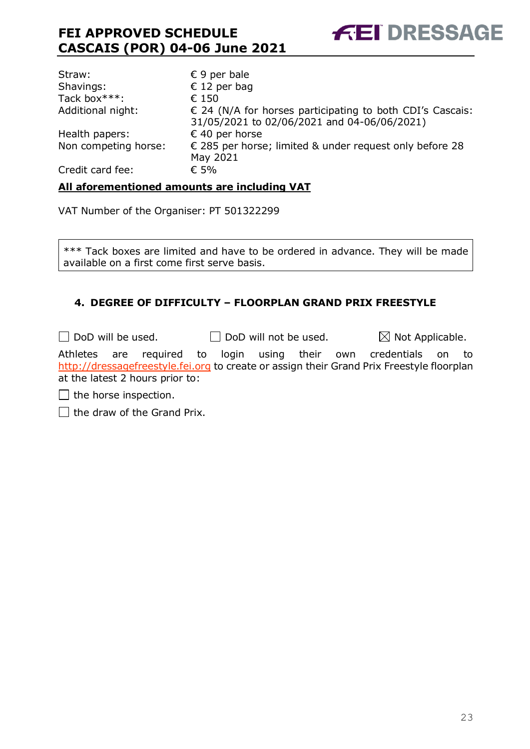

| Straw:               | $\epsilon$ 9 per bale                                                                                             |
|----------------------|-------------------------------------------------------------------------------------------------------------------|
| Shavings:            | € 12 per bag                                                                                                      |
| Tack box***:         | € 150                                                                                                             |
| Additional night:    | $\epsilon$ 24 (N/A for horses participating to both CDI's Cascais:<br>31/05/2021 to 02/06/2021 and 04-06/06/2021) |
| Health papers:       | € 40 per horse                                                                                                    |
| Non competing horse: | € 285 per horse; limited & under request only before 28<br>May 2021                                               |
| Credit card fee:     | € 5%                                                                                                              |

#### **All aforementioned amounts are including VAT**

VAT Number of the Organiser: PT 501322299

\*\*\* Tack boxes are limited and have to be ordered in advance. They will be made available on a first come first serve basis.

### <span id="page-22-0"></span>**4. DEGREE OF DIFFICULTY – FLOORPLAN GRAND PRIX FREESTYLE**

 $\Box$  DoD will be used.  $\Box$  DoD will not be used.  $\boxtimes$  Not Applicable.

Athletes are required to login using their own credentials on to [http://dressagefreestyle.fei.org](http://dressagefreestyle.fei.org/) to create or assign their Grand Prix Freestyle floorplan at the latest 2 hours prior to:

 $\Box$  the horse inspection.

 $\Box$  the draw of the Grand Prix.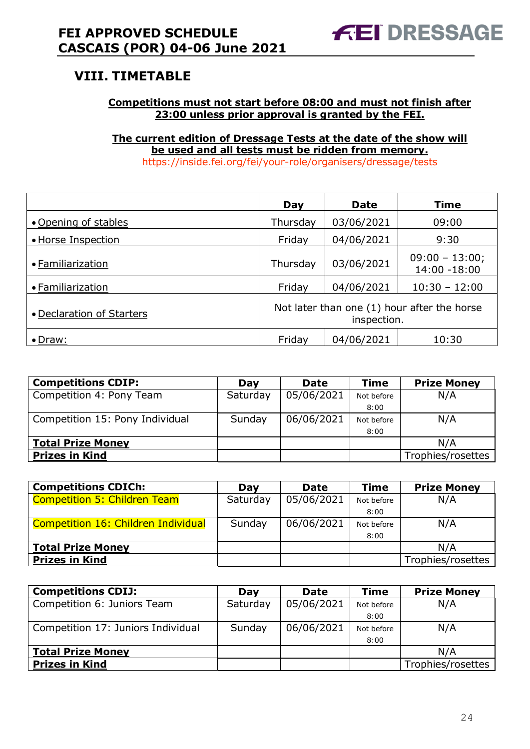### <span id="page-23-0"></span>**VIII. TIMETABLE**

### **Competitions must not start before 08:00 and must not finish after 23:00 unless prior approval is granted by the FEI.**

**The current edition of Dressage Tests at the date of the show will be used and all tests must be ridden from memory.** <https://inside.fei.org/fei/your-role/organisers/dressage/tests>

|                           | Day                                                        | <b>Date</b> | <b>Time</b>                      |  |  |
|---------------------------|------------------------------------------------------------|-------------|----------------------------------|--|--|
| • Opening of stables      | Thursday                                                   | 03/06/2021  | 09:00                            |  |  |
| • Horse Inspection        | Friday                                                     | 04/06/2021  | 9:30                             |  |  |
| • Familiarization         | Thursday                                                   | 03/06/2021  | $09:00 - 13:00;$<br>14:00 -18:00 |  |  |
| • Familiarization         | Friday                                                     | 04/06/2021  | $10:30 - 12:00$                  |  |  |
| • Declaration of Starters | Not later than one (1) hour after the horse<br>inspection. |             |                                  |  |  |
| $\bullet$ Draw:           | Friday                                                     | 04/06/2021  | 10:30                            |  |  |

| <b>Competitions CDIP:</b>       | Dav      | <b>Date</b> | <b>Time</b> | <b>Prize Money</b> |
|---------------------------------|----------|-------------|-------------|--------------------|
| Competition 4: Pony Team        | Saturday | 05/06/2021  | Not before  | N/A                |
|                                 |          |             | 8:00        |                    |
| Competition 15: Pony Individual | Sunday   | 06/06/2021  | Not before  | N/A                |
|                                 |          |             | 8:00        |                    |
| <b>Total Prize Money</b>        |          |             |             | N/A                |
| <b>Prizes in Kind</b>           |          |             |             | Trophies/rosettes  |

| <b>Competitions CDICh:</b>          | Day      | <b>Date</b> | <b>Time</b> | <b>Prize Money</b> |
|-------------------------------------|----------|-------------|-------------|--------------------|
| <b>Competition 5: Children Team</b> | Saturday | 05/06/2021  | Not before  | N/A                |
|                                     |          |             | 8:00        |                    |
| Competition 16: Children Individual | Sunday   | 06/06/2021  | Not before  | N/A                |
|                                     |          |             | 8:00        |                    |
| <b>Total Prize Money</b>            |          |             |             | N/A                |
| <b>Prizes in Kind</b>               |          |             |             | Trophies/rosettes  |

| <b>Competitions CDIJ:</b>          | Dav      | <b>Date</b> | Time       | <b>Prize Money</b> |
|------------------------------------|----------|-------------|------------|--------------------|
| Competition 6: Juniors Team        | Saturday | 05/06/2021  | Not before | N/A                |
|                                    |          |             | 8:00       |                    |
| Competition 17: Juniors Individual | Sunday   | 06/06/2021  | Not before | N/A                |
|                                    |          |             | 8:00       |                    |
| <b>Total Prize Money</b>           |          |             |            | N/A                |
| <b>Prizes in Kind</b>              |          |             |            | Trophies/rosettes  |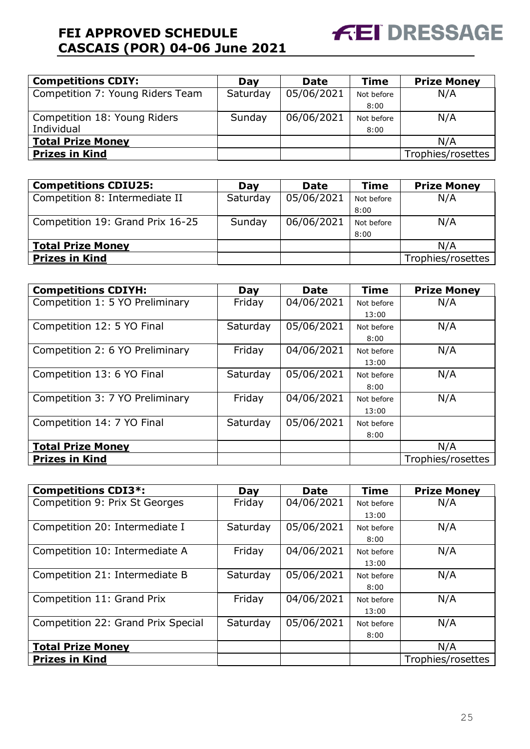

| <b>Competitions CDIY:</b>        | Day      | <b>Date</b> | <b>Time</b> | <b>Prize Money</b> |
|----------------------------------|----------|-------------|-------------|--------------------|
| Competition 7: Young Riders Team | Saturday | 05/06/2021  | Not before  | N/A                |
|                                  |          |             | 8:00        |                    |
| Competition 18: Young Riders     | Sunday   | 06/06/2021  | Not before  | N/A                |
| Individual                       |          |             | 8:00        |                    |
| <b>Total Prize Money</b>         |          |             |             | N/A                |
| <b>Prizes in Kind</b>            |          |             |             | Trophies/rosettes  |

| <b>Competitions CDIU25:</b>      | Dav      | <b>Date</b> | <b>Time</b> | <b>Prize Money</b> |
|----------------------------------|----------|-------------|-------------|--------------------|
| Competition 8: Intermediate II   | Saturday | 05/06/2021  | Not before  | N/A                |
|                                  |          |             | 8:00        |                    |
| Competition 19: Grand Prix 16-25 | Sunday   | 06/06/2021  | Not before  | N/A                |
|                                  |          |             | 8:00        |                    |
| <b>Total Prize Money</b>         |          |             |             | N/A                |
| <b>Prizes in Kind</b>            |          |             |             | Trophies/rosettes  |

| <b>Competitions CDIYH:</b>      | Day      | <b>Date</b> | <b>Time</b> | <b>Prize Money</b> |
|---------------------------------|----------|-------------|-------------|--------------------|
| Competition 1: 5 YO Preliminary | Friday   | 04/06/2021  | Not before  | N/A                |
|                                 |          |             | 13:00       |                    |
| Competition 12: 5 YO Final      | Saturday | 05/06/2021  | Not before  | N/A                |
|                                 |          |             | 8:00        |                    |
| Competition 2: 6 YO Preliminary | Friday   | 04/06/2021  | Not before  | N/A                |
|                                 |          |             | 13:00       |                    |
| Competition 13: 6 YO Final      | Saturday | 05/06/2021  | Not before  | N/A                |
|                                 |          |             | 8:00        |                    |
| Competition 3: 7 YO Preliminary | Friday   | 04/06/2021  | Not before  | N/A                |
|                                 |          |             | 13:00       |                    |
| Competition 14: 7 YO Final      | Saturday | 05/06/2021  | Not before  |                    |
|                                 |          |             | 8:00        |                    |
| <b>Total Prize Money</b>        |          |             |             | N/A                |
| <b>Prizes in Kind</b>           |          |             |             | Trophies/rosettes  |

| <b>Competitions CDI3*:</b>         | Day      | <b>Date</b> | <b>Time</b> | <b>Prize Money</b> |
|------------------------------------|----------|-------------|-------------|--------------------|
| Competition 9: Prix St Georges     | Friday   | 04/06/2021  | Not before  | N/A                |
|                                    |          |             | 13:00       |                    |
| Competition 20: Intermediate I     | Saturday | 05/06/2021  | Not before  | N/A                |
|                                    |          |             | 8:00        |                    |
| Competition 10: Intermediate A     | Friday   | 04/06/2021  | Not before  | N/A                |
|                                    |          |             | 13:00       |                    |
| Competition 21: Intermediate B     | Saturday | 05/06/2021  | Not before  | N/A                |
|                                    |          |             | 8:00        |                    |
| Competition 11: Grand Prix         | Friday   | 04/06/2021  | Not before  | N/A                |
|                                    |          |             | 13:00       |                    |
| Competition 22: Grand Prix Special | Saturday | 05/06/2021  | Not before  | N/A                |
|                                    |          |             | 8:00        |                    |
| <b>Total Prize Money</b>           |          |             |             | N/A                |
| <b>Prizes in Kind</b>              |          |             |             | Trophies/rosettes  |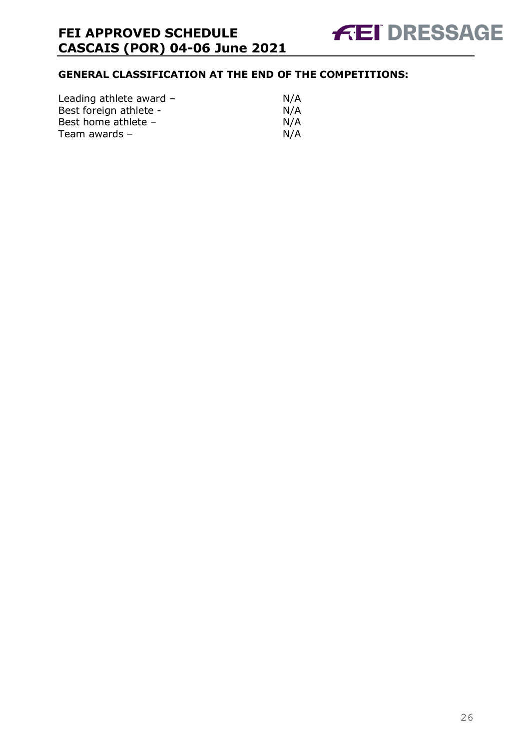### **GENERAL CLASSIFICATION AT THE END OF THE COMPETITIONS:**

| Leading athlete award - | N/A |
|-------------------------|-----|
| Best foreign athlete -  | N/A |
| Best home athlete -     | N/A |
| Team awards $-$         | N/A |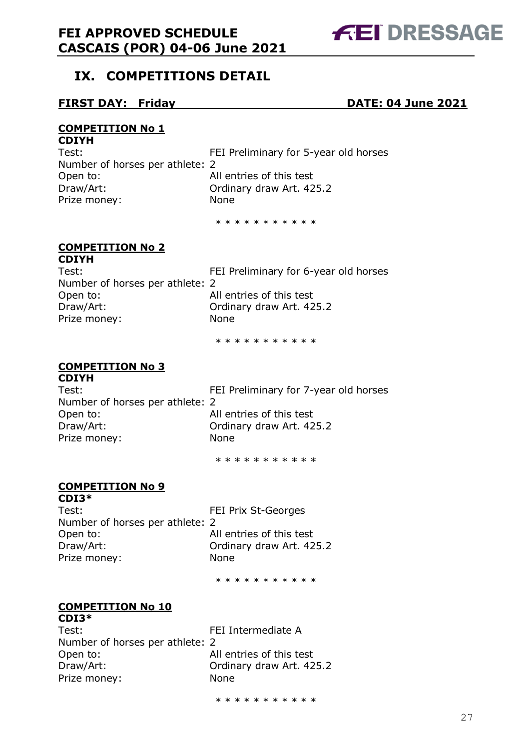

### <span id="page-26-0"></span>**IX. COMPETITIONS DETAIL**

### **FIRST DAY: Friday DATE: 04 June 2021**

#### **COMPETITION No 1 CDIYH**

| ~~~~                            |                                       |
|---------------------------------|---------------------------------------|
| Test:                           | FEI Preliminary for 5-year old horses |
| Number of horses per athlete: 2 |                                       |
| Open to:                        | All entries of this test              |
| Draw/Art:                       | Ordinary draw Art. 425.2              |
| Prize money:                    | <b>None</b>                           |
|                                 |                                       |

\* \* \* \* \* \* \* \* \* \*

#### **COMPETITION No 2 CDIYH**

| ~~~~                            |                                       |
|---------------------------------|---------------------------------------|
| Test:                           | FEI Preliminary for 6-year old horses |
| Number of horses per athlete: 2 |                                       |
| Open to:                        | All entries of this test              |
| Draw/Art:                       | Ordinary draw Art. 425.2              |
| Prize money:                    | <b>None</b>                           |
|                                 |                                       |

\* \* \* \* \* \* \* \* \* \*

### **COMPETITION No 3**

**CDIYH** Number of horses per athlete: 2 Open to: All entries of this test Draw/Art: Ordinary draw Art. 425.2 Prize money: None

Test: FEI Preliminary for 7-year old horses

\* \* \* \* \* \* \* \* \* \*

### **COMPETITION No 9**

**CDI3\*** Test: FEI Prix St-Georges Number of horses per athlete: 2 Open to: All entries of this test Draw/Art: Ordinary draw Art. 425.2 Prize money: None

\* \* \* \* \* \* \* \* \* \*

### **COMPETITION No 10**

| $CDI3*$                         |                          |
|---------------------------------|--------------------------|
| Test:                           | FEI Intermediate A       |
| Number of horses per athlete: 2 |                          |
| Open to:                        | All entries of this test |
| Draw/Art:                       | Ordinary draw Art. 425.2 |
| Prize money:                    | None                     |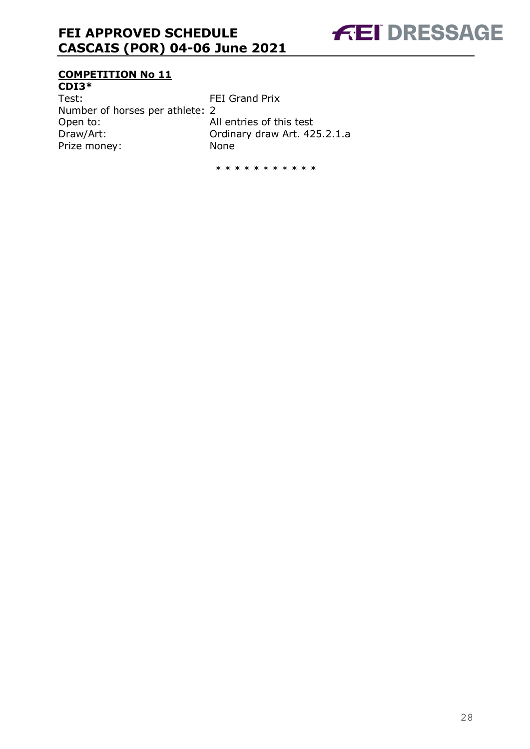

### **COMPETITION No 11**

**CDI3\*** Test: FEI Grand Prix Number of horses per athlete: 2 Open to: All entries of this test Draw/Art: Ordinary draw Art. 425.2.1.a Prize money: None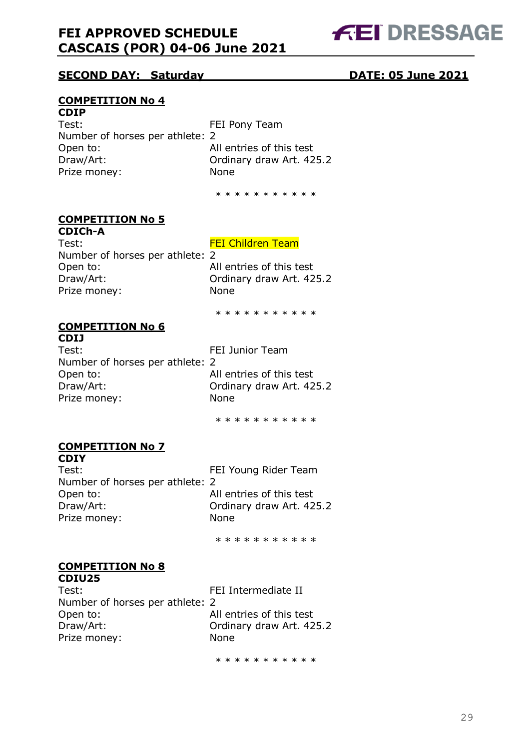

### **SECOND DAY: Saturday DATE: 05 June 2021**

### **COMPETITION No 4**

#### **CDIP**

Test: Test: FEI Pony Team Number of horses per athlete: 2 Open to: and all entries of this test Draw/Art: Ordinary draw Art. 425.2 Prize money: None

\* \* \* \* \* \* \* \* \* \* \*

### **COMPETITION No 5**

**CDICh-A** Test: Test: FEI Children Team Number of horses per athlete: 2 Open to: All entries of this test Draw/Art: Ordinary draw Art. 425.2 Prize money: None

\* \* \* \* \* \* \* \* \* \*

#### **COMPETITION No 6 CDIJ**

Test: Test: Team Number of horses per athlete: 2 Open to: All entries of this test Draw/Art: Ordinary draw Art. 425.2 Prize money: None

\* \* \* \* \* \* \* \* \* \*

#### **COMPETITION No 7 CDIY**

Test: FEI Young Rider Team Number of horses per athlete: 2 Open to: All entries of this test Draw/Art: Ordinary draw Art. 425.2 Prize money: None

\* \* \* \* \* \* \* \* \* \*

#### **COMPETITION No 8 CDIU25**

Test: FEI Intermediate II Number of horses per athlete: 2 Open to: All entries of this test Draw/Art: Ordinary draw Art. 425.2 Prize money: None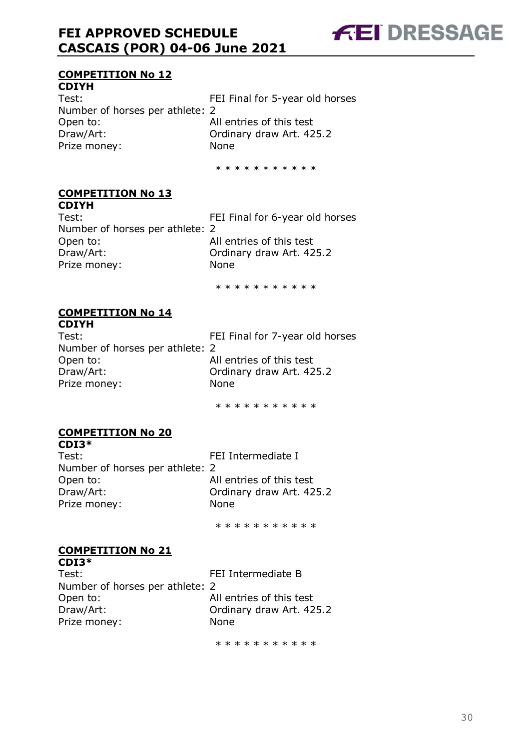

### **COMPETITION No 12**

**CDIYH** Test: FEI Final for 5-year old horses Number of horses per athlete: 2 Open to: All entries of this test Draw/Art: Ordinary draw Art. 425.2 Prize money: None

\* \* \* \* \* \* \* \* \* \*

#### **COMPETITION No 13 CDIYH**

Test: Test: FEI Final for 6-year old horses Number of horses per athlete: 2 Open to: All entries of this test Draw/Art: Ordinary draw Art. 425.2 Prize money: None

\* \* \* \* \* \* \* \* \* \*

#### **COMPETITION No 14 CDIYH**

Test: FEI Final for 7-year old horses Number of horses per athlete: 2 Open to: All entries of this test Draw/Art: Ordinary draw Art. 425.2 Prize money: None

\* \* \* \* \* \* \* \* \* \*

### **COMPETITION No 20**

**CDI3\*** Test: FEI Intermediate I Number of horses per athlete: 2 Open to: All entries of this test Draw/Art: Ordinary draw Art. 425.2 Prize money: None

\* \* \* \* \* \* \* \* \* \*

#### **COMPETITION No 21 CDI3\***

| CD13 T                          |                          |
|---------------------------------|--------------------------|
| Test:                           | FEI Intermediate B       |
| Number of horses per athlete: 2 |                          |
| Open to:                        | All entries of this test |
| Draw/Art:                       | Ordinary draw Art. 425.2 |
| Prize money:                    | <b>None</b>              |
|                                 |                          |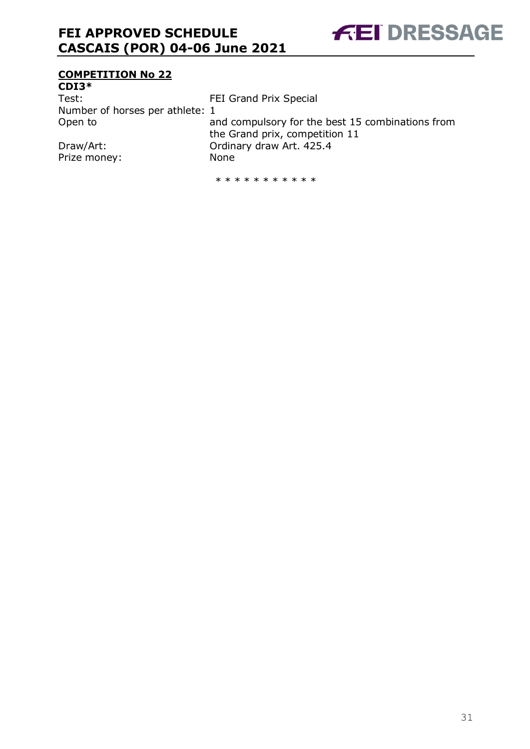

### **COMPETITION No 22**

**CDI3\*** Test: Test: FEI Grand Prix Special Number of horses per athlete: 1 Open to and compulsory for the best 15 combinations from the Grand prix, competition 11 Draw/Art: Ordinary draw Art. 425.4

Prize money: None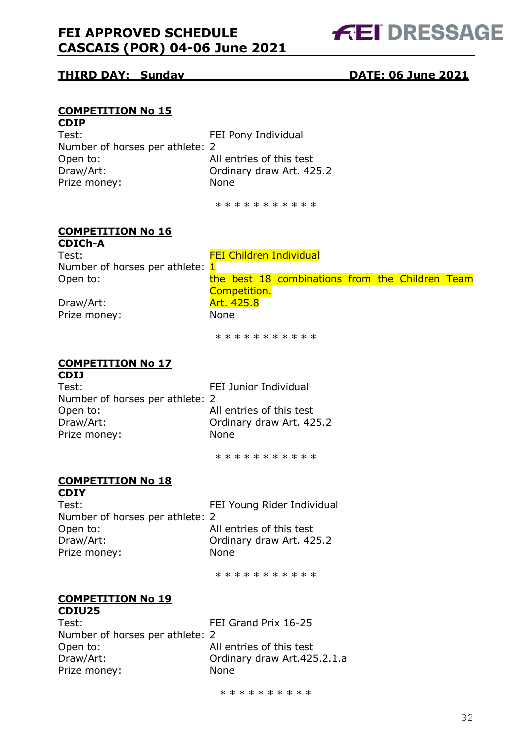

### **THIRD DAY: Sunday DATE: 06 June 2021**

#### **COMPETITION No 15 CDIP**

| CDIF                            |                          |
|---------------------------------|--------------------------|
| Test:                           | FEI Pony Individual      |
| Number of horses per athlete: 2 |                          |
| Open to:                        | All entries of this test |
| Draw/Art:                       | Ordinary draw Art. 425.2 |
| Prize money:                    | <b>None</b>              |
|                                 |                          |

\* \* \* \* \* \* \* \* \* \* \*

### **COMPETITION No 16**

**CDICh-A** Test: Test: FEI Children Individual Number of horses per athlete:  $1$ Open to: the best 18 combinations from the Children Team Competition. Draw/Art: Art. 425.8

Prize money: None

\* \* \* \* \* \* \* \* \* \*

#### **COMPETITION No 17 CDIJ**

| .                               |                          |
|---------------------------------|--------------------------|
| Test:                           | FEI Junior Individual    |
| Number of horses per athlete: 2 |                          |
| Open to:                        | All entries of this test |
| Draw/Art:                       | Ordinary draw Art. 425.2 |
| Prize money:                    | <b>None</b>              |
|                                 |                          |

\* \* \* \* \* \* \* \* \* \*

#### **COMPETITION No 18 CDIY**

Test: FEI Young Rider Individual Number of horses per athlete: 2 Open to: All entries of this test Draw/Art: Ordinary draw Art. 425.2 Prize money: None

\* \* \* \* \* \* \* \* \* \*

#### **COMPETITION No 19 CDIU25**

| Test:                           |  |
|---------------------------------|--|
| Number of horses per athlete: 2 |  |
| Open to:                        |  |
| Draw/Art:                       |  |
| Prize money:                    |  |

FEI Grand Prix 16-25 All entries of this test Ordinary draw Art.425.2.1.a None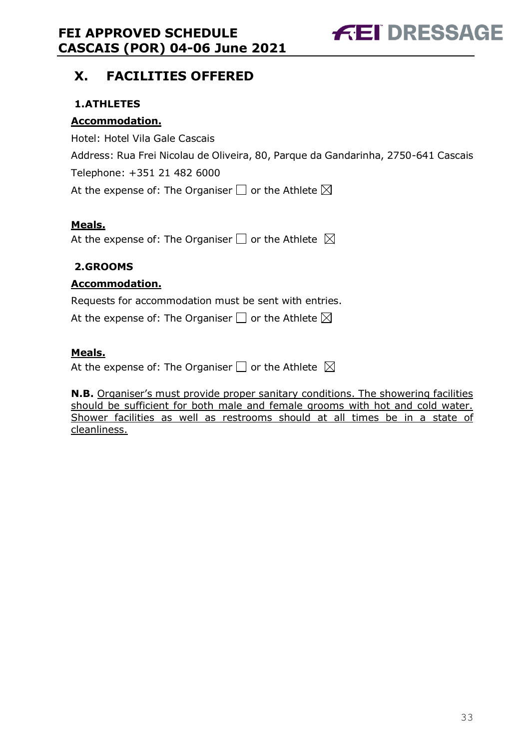

### <span id="page-32-0"></span>**X. FACILITIES OFFERED**

### <span id="page-32-1"></span>**1.ATHLETES**

### **Accommodation.**

Hotel: Hotel Vila Gale Cascais Address: Rua Frei Nicolau de Oliveira, 80, Parque da Gandarinha, 2750-641 Cascais Telephone: +351 21 482 6000 At the expense of: The Organiser  $\Box$  or the Athlete  $\boxtimes$ 

### **Meals.**

At the expense of: The Organiser  $\Box$  or the Athlete  $\boxtimes$ 

### <span id="page-32-2"></span>**2.GROOMS**

### **Accommodation.**

Requests for accommodation must be sent with entries.

At the expense of: The Organiser  $\Box$  or the Athlete  $\boxtimes$ 

### **Meals.**

At the expense of: The Organiser  $\Box$  or the Athlete  $\boxtimes$ 

**N.B.** Organiser's must provide proper sanitary conditions. The showering facilities should be sufficient for both male and female grooms with hot and cold water. Shower facilities as well as restrooms should at all times be in a state of cleanliness.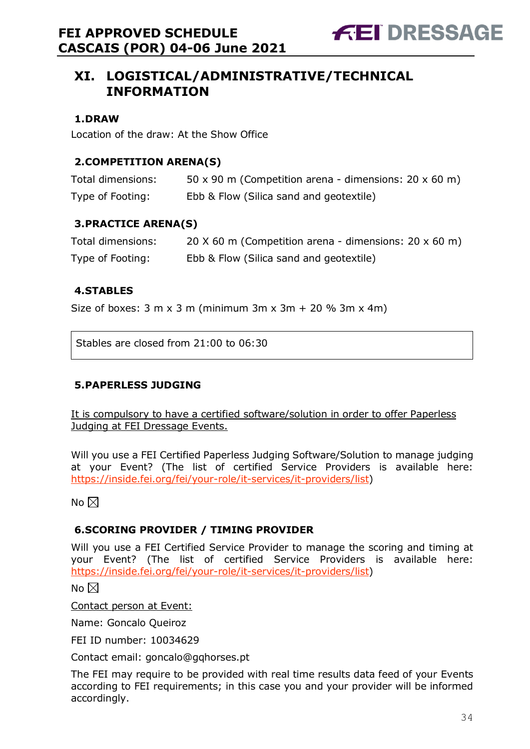### <span id="page-33-0"></span>**XI. LOGISTICAL/ADMINISTRATIVE/TECHNICAL INFORMATION**

### <span id="page-33-1"></span>**1.DRAW**

Location of the draw: At the Show Office

### <span id="page-33-2"></span>**2.COMPETITION ARENA(S)**

| Total dimensions: | 50 x 90 m (Competition arena - dimensions: $20 \times 60$ m) |
|-------------------|--------------------------------------------------------------|
| Type of Footing:  | Ebb & Flow (Silica sand and geotextile)                      |

### <span id="page-33-3"></span>**3.PRACTICE ARENA(S)**

| Total dimensions: | 20 $\times$ 60 m (Competition arena - dimensions: 20 $\times$ 60 m) |
|-------------------|---------------------------------------------------------------------|
| Type of Footing:  | Ebb & Flow (Silica sand and geotextile)                             |

#### <span id="page-33-4"></span>**4.STABLES**

Size of boxes:  $3 \text{ m} \times 3 \text{ m}$  (minimum  $3 \text{ m} \times 3 \text{ m} + 20 \% 3 \text{ m} \times 4 \text{ m}$ )

Stables are closed from 21:00 to 06:30

### <span id="page-33-5"></span>**5.PAPERLESS JUDGING**

It is compulsory to have a certified software/solution in order to offer Paperless Judging at FEI Dressage Events.

Will you use a FEI Certified Paperless Judging Software/Solution to manage judging at your Event? (The list of certified Service Providers is available here: [https://inside.fei.org/fei/your-role/it-services/it-providers/list\)](https://inside.fei.org/fei/your-role/it-services/it-providers/list)

No  $\boxtimes$ 

### <span id="page-33-6"></span>**6.SCORING PROVIDER / TIMING PROVIDER**

Will you use a FEI Certified Service Provider to manage the scoring and timing at your Event? (The list of certified Service Providers is available here: [https://inside.fei.org/fei/your-role/it-services/it-providers/list\)](https://inside.fei.org/fei/your-role/it-services/it-providers/list)

No  $\boxtimes$ 

Contact person at Event:

Name: Goncalo Queiroz

FEI ID number: 10034629

Contact email: goncalo@gqhorses.pt

The FEI may require to be provided with real time results data feed of your Events according to FEI requirements; in this case you and your provider will be informed accordingly.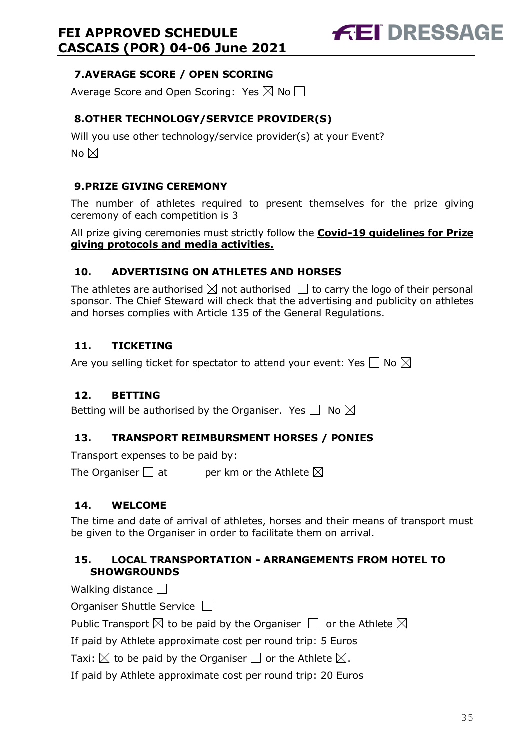### <span id="page-34-0"></span>**7.AVERAGE SCORE / OPEN SCORING**

Average Score and Open Scoring: Yes  $\boxtimes$  No  $\Box$ 

### <span id="page-34-1"></span>**8.OTHER TECHNOLOGY/SERVICE PROVIDER(S)**

Will you use other technology/service provider(s) at your Event? No  $\boxtimes$ 

### <span id="page-34-2"></span>**9.PRIZE GIVING CEREMONY**

The number of athletes required to present themselves for the prize giving ceremony of each competition is 3

All prize giving ceremonies must strictly follow the **Covid-19 guidelines for Prize giving protocols and media activities.**

### <span id="page-34-3"></span>**10. ADVERTISING ON ATHLETES AND HORSES**

The athletes are authorised  $\boxtimes$  not authorised  $\Box$  to carry the logo of their personal sponsor. The Chief Steward will check that the advertising and publicity on athletes and horses complies with Article 135 of the General Regulations.

### <span id="page-34-4"></span>**11. TICKETING**

Are you selling ticket for spectator to attend your event: Yes  $\square$  No  $\boxtimes$ 

### <span id="page-34-5"></span>**12. BETTING**

Betting will be authorised by the Organiser. Yes  $\Box$  No  $\boxtimes$ 

### <span id="page-34-6"></span>**13. TRANSPORT REIMBURSMENT HORSES / PONIES**

Transport expenses to be paid by:

The Organiser  $\Box$  at entries ber km or the Athlete  $\boxtimes$ 

### <span id="page-34-7"></span>**14. WELCOME**

The time and date of arrival of athletes, horses and their means of transport must be given to the Organiser in order to facilitate them on arrival.

### <span id="page-34-8"></span>**15. LOCAL TRANSPORTATION - ARRANGEMENTS FROM HOTEL TO SHOWGROUNDS**

Walking distance  $\Box$ 

Organiser Shuttle Service  $\Box$ 

Public Transport  $\boxtimes$  to be paid by the Organiser  $\Box$  or the Athlete  $\boxtimes$ 

If paid by Athlete approximate cost per round trip: 5 Euros

Taxi:  $\boxtimes$  to be paid by the Organiser  $\Box$  or the Athlete  $\boxtimes$ .

If paid by Athlete approximate cost per round trip: 20 Euros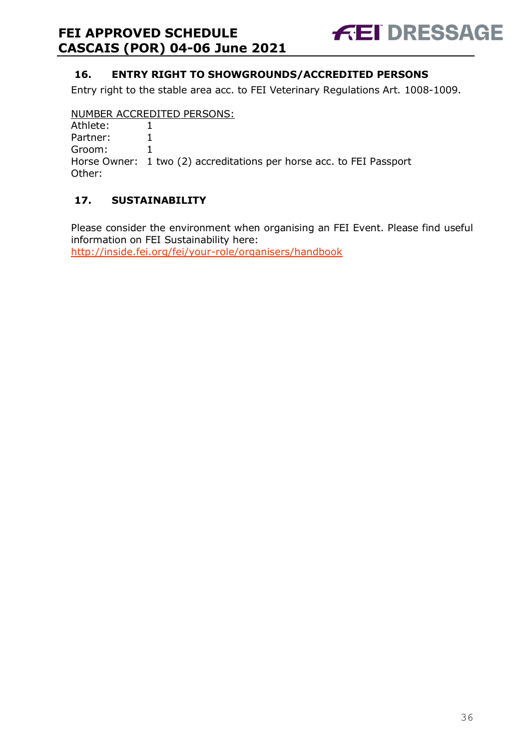

### <span id="page-35-0"></span>**16. ENTRY RIGHT TO SHOWGROUNDS/ACCREDITED PERSONS**

Entry right to the stable area acc. to FEI Veterinary Regulations Art. 1008-1009.

#### NUMBER ACCREDITED PERSONS:

| Athlete:      |  |
|---------------|--|
| Partner:      |  |
| $\sim$ $\sim$ |  |

Groom: 1

Horse Owner: 1 two (2) accreditations per horse acc. to FEI Passport Other:

### <span id="page-35-1"></span>**17. SUSTAINABILITY**

Please consider the environment when organising an FEI Event. Please find useful information on FEI Sustainability here:

<http://inside.fei.org/fei/your-role/organisers/handbook>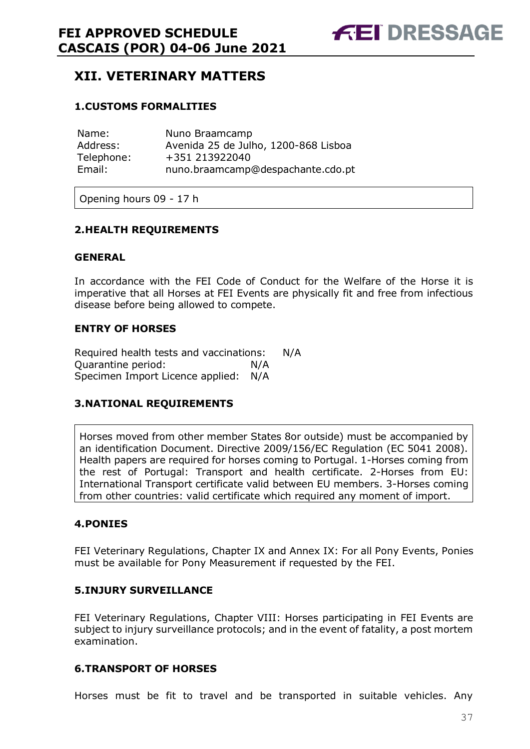### <span id="page-36-0"></span>**XII. VETERINARY MATTERS**

### <span id="page-36-1"></span>**1.CUSTOMS FORMALITIES**

| Name:      | Nuno Braamcamp                       |
|------------|--------------------------------------|
| Address:   | Avenida 25 de Julho, 1200-868 Lisboa |
| Telephone: | +351 213922040                       |
| Email:     | nuno.braamcamp@despachante.cdo.pt    |

Opening hours 09 - 17 h

#### <span id="page-36-2"></span>**2.HEALTH REQUIREMENTS**

#### **GENERAL**

In accordance with the FEI Code of Conduct for the Welfare of the Horse it is imperative that all Horses at FEI Events are physically fit and free from infectious disease before being allowed to compete.

#### **ENTRY OF HORSES**

Required health tests and vaccinations: N/A Quarantine period: N/A Specimen Import Licence applied: N/A

#### <span id="page-36-3"></span>**3.NATIONAL REQUIREMENTS**

Horses moved from other member States 8or outside) must be accompanied by an identification Document. Directive 2009/156/EC Regulation (EC 5041 2008). Health papers are required for horses coming to Portugal. 1-Horses coming from the rest of Portugal: Transport and health certificate. 2-Horses from EU: International Transport certificate valid between EU members. 3-Horses coming from other countries: valid certificate which required any moment of import.

#### <span id="page-36-4"></span>**4.PONIES**

FEI Veterinary Regulations, Chapter IX and Annex IX: For all Pony Events, Ponies must be available for Pony Measurement if requested by the FEI.

#### <span id="page-36-5"></span>**5.INJURY SURVEILLANCE**

FEI Veterinary Regulations, Chapter VIII: Horses participating in FEI Events are subject to injury surveillance protocols; and in the event of fatality, a post mortem examination.

#### <span id="page-36-6"></span>**6.TRANSPORT OF HORSES**

Horses must be fit to travel and be transported in suitable vehicles. Any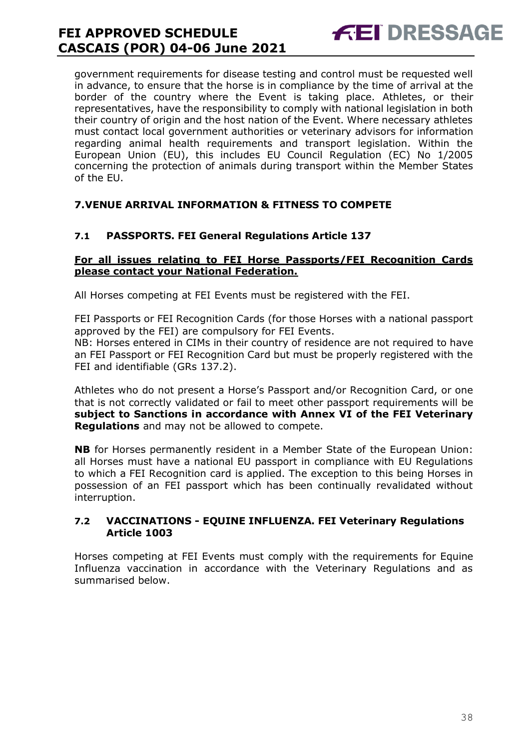government requirements for disease testing and control must be requested well in advance, to ensure that the horse is in compliance by the time of arrival at the border of the country where the Event is taking place. Athletes, or their representatives, have the responsibility to comply with national legislation in both their country of origin and the host nation of the Event. Where necessary athletes must contact local government authorities or veterinary advisors for information regarding animal health requirements and transport legislation. Within the European Union (EU), this includes EU Council Regulation (EC) No 1/2005 concerning the protection of animals during transport within the Member States of the EU.

**FEI DRESSAGE** 

### <span id="page-37-0"></span>**7.VENUE ARRIVAL INFORMATION & FITNESS TO COMPETE**

### **7.1 PASSPORTS. FEI General Regulations Article 137**

#### **For all issues relating to FEI Horse Passports/FEI Recognition Cards please contact your National Federation.**

All Horses competing at FEI Events must be registered with the FEI.

FEI Passports or FEI Recognition Cards (for those Horses with a national passport approved by the FEI) are compulsory for FEI Events.

NB: Horses entered in CIMs in their country of residence are not required to have an FEI Passport or FEI Recognition Card but must be properly registered with the FEI and identifiable (GRs 137.2).

Athletes who do not present a Horse's Passport and/or Recognition Card, or one that is not correctly validated or fail to meet other passport requirements will be **subject to Sanctions in accordance with Annex VI of the FEI Veterinary Regulations** and may not be allowed to compete.

**NB** for Horses permanently resident in a Member State of the European Union: all Horses must have a national EU passport in compliance with EU Regulations to which a FEI Recognition card is applied. The exception to this being Horses in possession of an FEI passport which has been continually revalidated without interruption.

#### **7.2 VACCINATIONS - EQUINE INFLUENZA. FEI Veterinary Regulations Article 1003**

Horses competing at FEI Events must comply with the requirements for Equine Influenza vaccination in accordance with the Veterinary Regulations and as summarised below.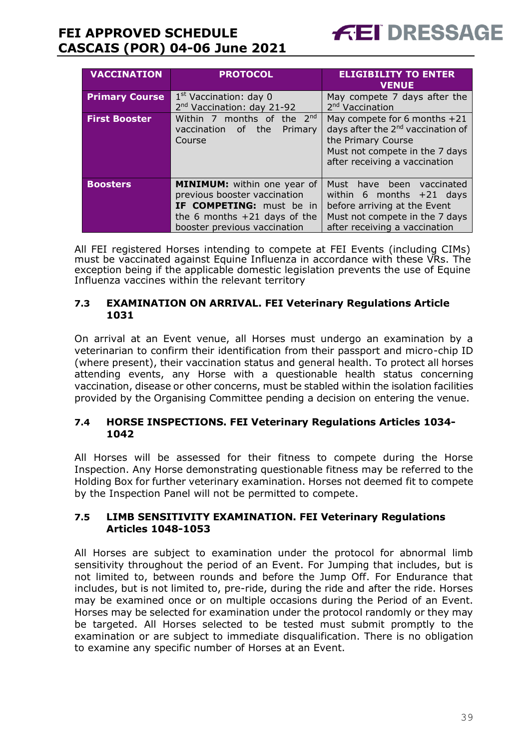

| <b>VACCINATION</b>    | <b>PROTOCOL</b>                                                                                                                                                  | <b>ELIGIBILITY TO ENTER</b><br><b>VENUE</b>                                                                                                                            |
|-----------------------|------------------------------------------------------------------------------------------------------------------------------------------------------------------|------------------------------------------------------------------------------------------------------------------------------------------------------------------------|
| <b>Primary Course</b> | $1st$ Vaccination: day 0<br>2 <sup>nd</sup> Vaccination: day 21-92                                                                                               | May compete 7 days after the<br>2 <sup>nd</sup> Vaccination                                                                                                            |
| <b>First Booster</b>  | Within 7 months of the $2^{nd}$<br>vaccination of the<br>Primary<br>Course                                                                                       | May compete for 6 months +21<br>days after the 2 <sup>nd</sup> vaccination of<br>the Primary Course<br>Must not compete in the 7 days<br>after receiving a vaccination |
| <b>Boosters</b>       | <b>MINIMUM:</b> within one year of<br>previous booster vaccination<br>IF COMPETING: must be in<br>the 6 months $+21$ days of the<br>booster previous vaccination | Must have been vaccinated<br>within 6 months $+21$ days<br>before arriving at the Event<br>Must not compete in the 7 days<br>after receiving a vaccination             |

All FEI registered Horses intending to compete at FEI Events (including CIMs) must be vaccinated against Equine Influenza in accordance with these VRs. The exception being if the applicable domestic legislation prevents the use of Equine Influenza vaccines within the relevant territory

### **7.3 EXAMINATION ON ARRIVAL. FEI Veterinary Regulations Article 1031**

On arrival at an Event venue, all Horses must undergo an examination by a veterinarian to confirm their identification from their passport and micro-chip ID (where present), their vaccination status and general health. To protect all horses attending events, any Horse with a questionable health status concerning vaccination, disease or other concerns, must be stabled within the isolation facilities provided by the Organising Committee pending a decision on entering the venue.

#### **7.4 HORSE INSPECTIONS. FEI Veterinary Regulations Articles 1034- 1042**

All Horses will be assessed for their fitness to compete during the Horse Inspection. Any Horse demonstrating questionable fitness may be referred to the Holding Box for further veterinary examination. Horses not deemed fit to compete by the Inspection Panel will not be permitted to compete.

#### **7.5 LIMB SENSITIVITY EXAMINATION. FEI Veterinary Regulations Articles 1048-1053**

All Horses are subject to examination under the protocol for abnormal limb sensitivity throughout the period of an Event. For Jumping that includes, but is not limited to, between rounds and before the Jump Off. For Endurance that includes, but is not limited to, pre-ride, during the ride and after the ride. Horses may be examined once or on multiple occasions during the Period of an Event. Horses may be selected for examination under the protocol randomly or they may be targeted. All Horses selected to be tested must submit promptly to the examination or are subject to immediate disqualification. There is no obligation to examine any specific number of Horses at an Event.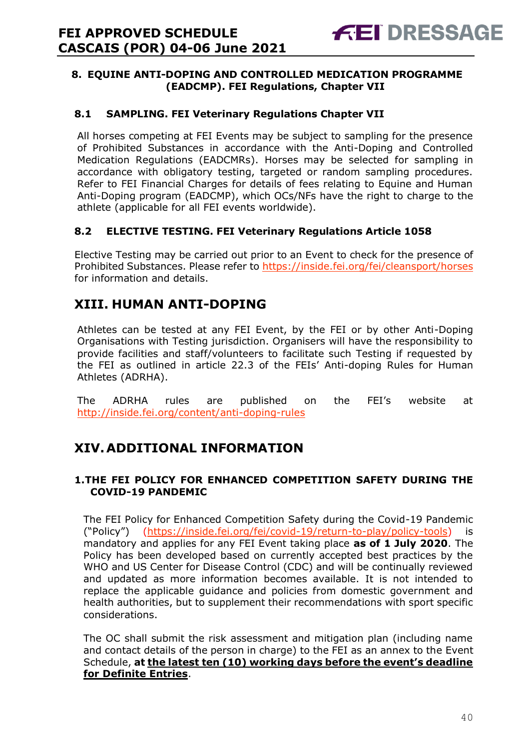### <span id="page-39-0"></span>**8. EQUINE ANTI-DOPING AND CONTROLLED MEDICATION PROGRAMME (EADCMP). FEI Regulations, Chapter VII**

### **8.1 SAMPLING. FEI Veterinary Regulations Chapter VII**

All horses competing at FEI Events may be subject to sampling for the presence of Prohibited Substances in accordance with the Anti-Doping and Controlled Medication Regulations (EADCMRs). Horses may be selected for sampling in accordance with obligatory testing, targeted or random sampling procedures. Refer to FEI Financial Charges for details of fees relating to Equine and Human Anti-Doping program (EADCMP), which OCs/NFs have the right to charge to the athlete (applicable for all FEI events worldwide).

### **8.2 ELECTIVE TESTING. FEI Veterinary Regulations Article 1058**

Elective Testing may be carried out prior to an Event to check for the presence of Prohibited Substances. Please refer to https://inside.fei.org/fei/cleansport/horses for information and details.

### <span id="page-39-1"></span>**XIII. HUMAN ANTI-DOPING**

Athletes can be tested at any FEI Event, by the FEI or by other Anti-Doping Organisations with Testing jurisdiction. Organisers will have the responsibility to provide facilities and staff/volunteers to facilitate such Testing if requested by the FEI as outlined in article 22.3 of the FEIs' Anti-doping Rules for Human Athletes (ADRHA).

The ADRHA rules are published on the FEI's website at <http://inside.fei.org/content/anti-doping-rules>

### <span id="page-39-2"></span>**XIV.ADDITIONAL INFORMATION**

### <span id="page-39-3"></span>**1.THE FEI POLICY FOR ENHANCED COMPETITION SAFETY DURING THE COVID-19 PANDEMIC**

The FEI Policy for Enhanced Competition Safety during the Covid-19 Pandemic ("Policy") [\(https://inside.fei.org/fei/covid-19/return-to-play/policy-tools\)](https://inside.fei.org/fei/covid-19/return-to-play/policy-tools) is mandatory and applies for any FEI Event taking place **as of 1 July 2020**. The Policy has been developed based on currently accepted best practices by the WHO and US Center for Disease Control (CDC) and will be continually reviewed and updated as more information becomes available. It is not intended to replace the applicable guidance and policies from domestic government and health authorities, but to supplement their recommendations with sport specific considerations.

The OC shall submit the risk assessment and mitigation plan (including name and contact details of the person in charge) to the FEI as an annex to the Event Schedule, **at the latest ten (10) working days before the event's deadline for Definite Entries**.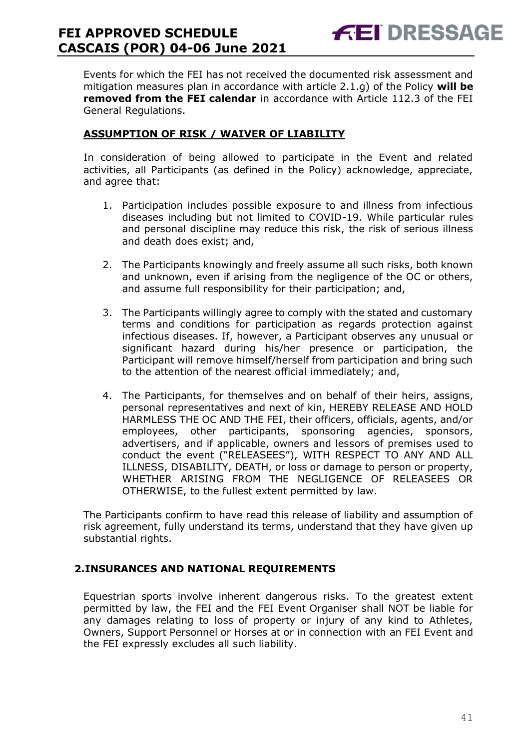**FEI DRESSAGE** 

Events for which the FEI has not received the documented risk assessment and mitigation measures plan in accordance with article 2.1.g) of the Policy **will be removed from the FEI calendar** in accordance with Article 112.3 of the FEI General Regulations.

### **ASSUMPTION OF RISK / WAIVER OF LIABILITY**

In consideration of being allowed to participate in the Event and related activities, all Participants (as defined in the Policy) acknowledge, appreciate, and agree that:

- 1. Participation includes possible exposure to and illness from infectious diseases including but not limited to COVID-19. While particular rules and personal discipline may reduce this risk, the risk of serious illness and death does exist; and,
- 2. The Participants knowingly and freely assume all such risks, both known and unknown, even if arising from the negligence of the OC or others, and assume full responsibility for their participation; and,
- 3. The Participants willingly agree to comply with the stated and customary terms and conditions for participation as regards protection against infectious diseases. If, however, a Participant observes any unusual or significant hazard during his/her presence or participation, the Participant will remove himself/herself from participation and bring such to the attention of the nearest official immediately; and,
- 4. The Participants, for themselves and on behalf of their heirs, assigns, personal representatives and next of kin, HEREBY RELEASE AND HOLD HARMLESS THE OC AND THE FEI, their officers, officials, agents, and/or employees, other participants, sponsoring agencies, sponsors, advertisers, and if applicable, owners and lessors of premises used to conduct the event ("RELEASEES"), WITH RESPECT TO ANY AND ALL ILLNESS, DISABILITY, DEATH, or loss or damage to person or property, WHETHER ARISING FROM THE NEGLIGENCE OF RELEASEES OR OTHERWISE, to the fullest extent permitted by law.

The Participants confirm to have read this release of liability and assumption of risk agreement, fully understand its terms, understand that they have given up substantial rights.

#### <span id="page-40-0"></span>**2.INSURANCES AND NATIONAL REQUIREMENTS**

Equestrian sports involve inherent dangerous risks. To the greatest extent permitted by law, the FEI and the FEI Event Organiser shall NOT be liable for any damages relating to loss of property or injury of any kind to Athletes, Owners, Support Personnel or Horses at or in connection with an FEI Event and the FEI expressly excludes all such liability.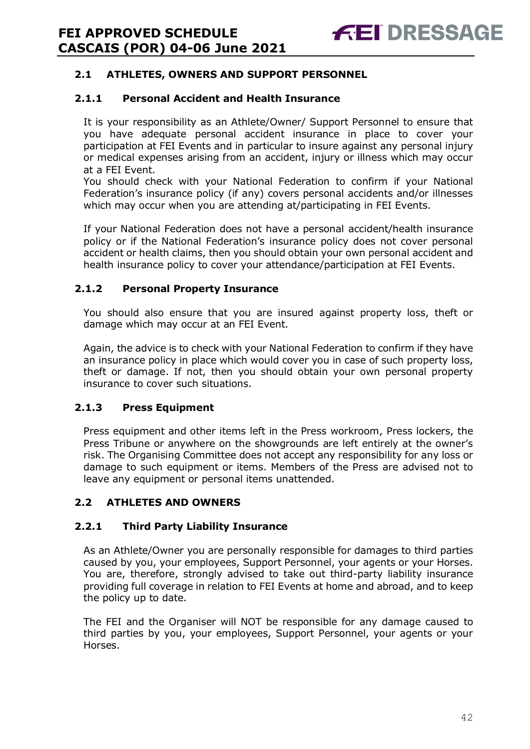### **2.1 ATHLETES, OWNERS AND SUPPORT PERSONNEL**

### **2.1.1 Personal Accident and Health Insurance**

It is your responsibility as an Athlete/Owner/ Support Personnel to ensure that you have adequate personal accident insurance in place to cover your participation at FEI Events and in particular to insure against any personal injury or medical expenses arising from an accident, injury or illness which may occur at a FEI Event.

You should check with your National Federation to confirm if your National Federation's insurance policy (if any) covers personal accidents and/or illnesses which may occur when you are attending at/participating in FEI Events.

If your National Federation does not have a personal accident/health insurance policy or if the National Federation's insurance policy does not cover personal accident or health claims, then you should obtain your own personal accident and health insurance policy to cover your attendance/participation at FEI Events.

### **2.1.2 Personal Property Insurance**

You should also ensure that you are insured against property loss, theft or damage which may occur at an FEI Event.

Again, the advice is to check with your National Federation to confirm if they have an insurance policy in place which would cover you in case of such property loss, theft or damage. If not, then you should obtain your own personal property insurance to cover such situations.

#### **2.1.3 Press Equipment**

Press equipment and other items left in the Press workroom, Press lockers, the Press Tribune or anywhere on the showgrounds are left entirely at the owner's risk. The Organising Committee does not accept any responsibility for any loss or damage to such equipment or items. Members of the Press are advised not to leave any equipment or personal items unattended.

#### **2.2 ATHLETES AND OWNERS**

### **2.2.1 Third Party Liability Insurance**

As an Athlete/Owner you are personally responsible for damages to third parties caused by you, your employees, Support Personnel, your agents or your Horses. You are, therefore, strongly advised to take out third-party liability insurance providing full coverage in relation to FEI Events at home and abroad, and to keep the policy up to date.

The FEI and the Organiser will NOT be responsible for any damage caused to third parties by you, your employees, Support Personnel, your agents or your Horses.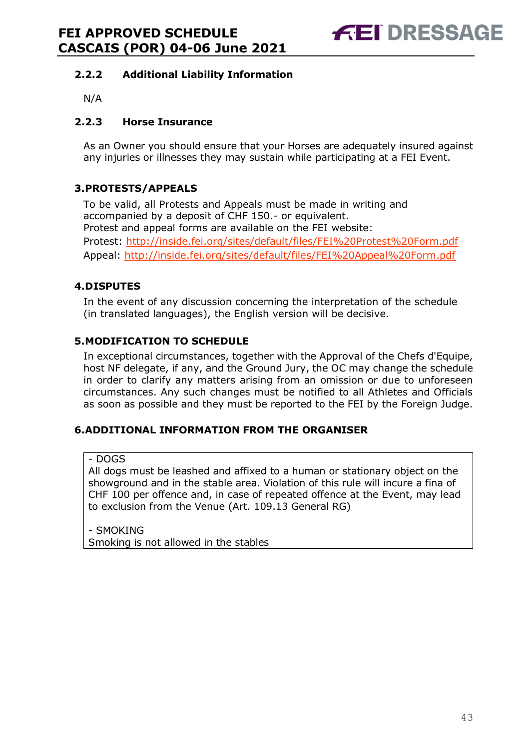### **2.2.2 Additional Liability Information**

N/A

### **2.2.3 Horse Insurance**

As an Owner you should ensure that your Horses are adequately insured against any injuries or illnesses they may sustain while participating at a FEI Event.

### <span id="page-42-0"></span>**3.PROTESTS/APPEALS**

To be valid, all Protests and Appeals must be made in writing and accompanied by a deposit of CHF 150.- or equivalent. Protest and appeal forms are available on the FEI website: Protest:<http://inside.fei.org/sites/default/files/FEI%20Protest%20Form.pdf> Appeal:<http://inside.fei.org/sites/default/files/FEI%20Appeal%20Form.pdf>

### <span id="page-42-1"></span>**4.DISPUTES**

In the event of any discussion concerning the interpretation of the schedule (in translated languages), the English version will be decisive.

### <span id="page-42-2"></span>**5.MODIFICATION TO SCHEDULE**

In exceptional circumstances, together with the Approval of the Chefs d'Equipe, host NF delegate, if any, and the Ground Jury, the OC may change the schedule in order to clarify any matters arising from an omission or due to unforeseen circumstances. Any such changes must be notified to all Athletes and Officials as soon as possible and they must be reported to the FEI by the Foreign Judge.

#### <span id="page-42-3"></span>**6.ADDITIONAL INFORMATION FROM THE ORGANISER**

- DOGS

All dogs must be leashed and affixed to a human or stationary object on the showground and in the stable area. Violation of this rule will incure a fina of CHF 100 per offence and, in case of repeated offence at the Event, may lead to exclusion from the Venue (Art. 109.13 General RG)

- SMOKING Smoking is not allowed in the stables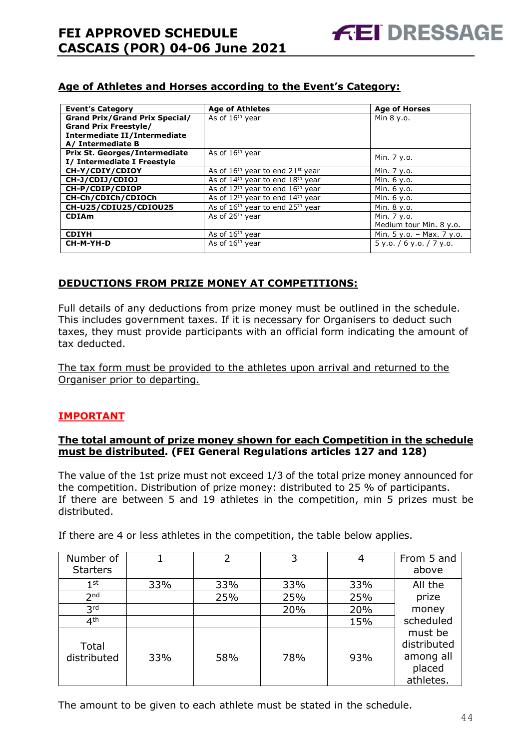### **Age of Athletes and Horses according to the Event's Category:**

| <b>Event's Category</b>               | <b>Age of Athletes</b>                                   | <b>Age of Horses</b>      |
|---------------------------------------|----------------------------------------------------------|---------------------------|
| <b>Grand Prix/Grand Prix Special/</b> | As of 16 <sup>th</sup> year                              | Min 8 y.o.                |
| <b>Grand Prix Freestyle/</b>          |                                                          |                           |
| Intermediate II/Intermediate          |                                                          |                           |
| A/ Intermediate B                     |                                                          |                           |
| <b>Prix St. Georges/Intermediate</b>  | As of 16 <sup>th</sup> year                              | Min. 7 y.o.               |
| I/ Intermediate I Freestyle           |                                                          |                           |
| CH-Y/CDIY/CDIOY                       | As of $16th$ year to end $21st$ year                     | Min. 7 y.o.               |
| CH-J/CDIJ/CDIOJ                       | As of $14th$ year to end $18th$ year                     | Min. 6 y.o.               |
| CH-P/CDIP/CDIOP                       | As of $12th$ year to end $16th$ year                     | Min. 6 y.o.               |
| CH-Ch/CDICh/CDIOCh                    | As of 12 <sup>th</sup> year to end 14 <sup>th</sup> year | Min. 6 y.o.               |
| CH-U25/CDIU25/CDIOU25                 | As of $16th$ year to end $25th$ year                     | Min. 8 y.o.               |
| <b>CDIAm</b>                          | As of 26 <sup>th</sup> year                              | Min. 7 y.o.               |
|                                       |                                                          | Medium tour Min. 8 y.o.   |
| <b>CDIYH</b>                          | As of 16 <sup>th</sup> year                              | Min. 5 y.o. - Max. 7 y.o. |
| CH-M-YH-D                             | As of $16th$ year                                        | 5y.0.76y.0.77y.0.         |

#### **DEDUCTIONS FROM PRIZE MONEY AT COMPETITIONS:**

Full details of any deductions from prize money must be outlined in the schedule. This includes government taxes. If it is necessary for Organisers to deduct such taxes, they must provide participants with an official form indicating the amount of tax deducted.

The tax form must be provided to the athletes upon arrival and returned to the Organiser prior to departing.

#### **IMPORTANT**

#### **The total amount of prize money shown for each Competition in the schedule must be distributed. (FEI General Regulations articles 127 and 128)**

The value of the 1st prize must not exceed 1/3 of the total prize money announced for the competition. Distribution of prize money: distributed to 25 % of participants. If there are between 5 and 19 athletes in the competition, min 5 prizes must be distributed.

| Number of<br><b>Starters</b> |     | $\overline{2}$ | 3   | 4   | From 5 and<br>above                                        |
|------------------------------|-----|----------------|-----|-----|------------------------------------------------------------|
|                              |     |                |     |     |                                                            |
| 1 <sup>st</sup>              | 33% | 33%            | 33% | 33% | All the                                                    |
| 2 <sub>nd</sub>              |     | 25%            | 25% | 25% | prize                                                      |
| 3 <sup>rd</sup>              |     |                | 20% | 20% | money                                                      |
| 4 <sup>th</sup>              |     |                |     | 15% | scheduled                                                  |
| Total<br>distributed         | 33% | 58%            | 78% | 93% | must be<br>distributed<br>among all<br>placed<br>athletes. |

If there are 4 or less athletes in the competition, the table below applies.

The amount to be given to each athlete must be stated in the schedule.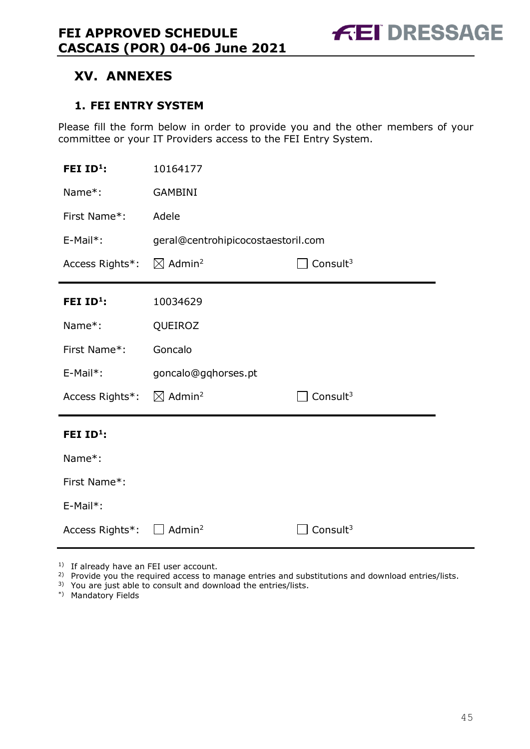### <span id="page-44-0"></span>**XV. ANNEXES**

### <span id="page-44-1"></span>**1. FEI ENTRY SYSTEM**

Please fill the form below in order to provide you and the other members of your committee or your IT Providers access to the FEI Entry System.

| FEI $ID^1$ :          | 10164177                                      |                      |  |  |
|-----------------------|-----------------------------------------------|----------------------|--|--|
| Name*:                | <b>GAMBINI</b>                                |                      |  |  |
| First Name*:          | Adele                                         |                      |  |  |
| E-Mail*:              | geral@centrohipicocostaestoril.com            |                      |  |  |
| Access Rights*:       | $\boxtimes$ Admin <sup>2</sup><br>Consult $3$ |                      |  |  |
| FEI $ID^1$ :          | 10034629                                      |                      |  |  |
| Name*:                | QUEIROZ                                       |                      |  |  |
| First Name*:          | Goncalo                                       |                      |  |  |
| $E-Mail*$ :           | goncalo@gqhorses.pt                           |                      |  |  |
| Access Rights*:       | $\boxtimes$ Admin <sup>2</sup>                | Consult <sup>3</sup> |  |  |
| FEI ID <sup>1</sup> : |                                               |                      |  |  |
| Name*:                |                                               |                      |  |  |
| First Name*:          |                                               |                      |  |  |
| E-Mail*:              |                                               |                      |  |  |
| Access Rights*:       | Admin <sup>2</sup>                            | Consult <sup>3</sup> |  |  |

<sup>1)</sup> If already have an FEI user account.

<sup>2)</sup> Provide you the required access to manage entries and substitutions and download entries/lists.

3) You are just able to consult and download the entries/lists.

\*) Mandatory Fields